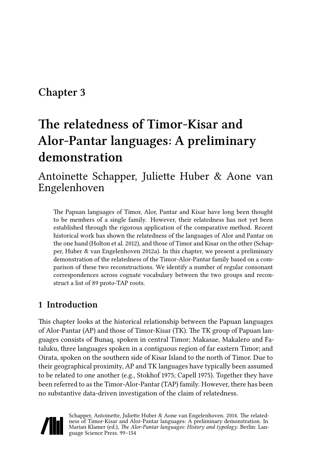**Chapter 3**

# **The relatedness of Timor-Kisar and Alor-Pantar languages: A preliminary demonstration**

Antoinette Schapper, Juliette Huber & Aone van Engelenhoven

The Papuan languages of Timor, Alor, Pantar and Kisar have long been thought to be members of a single family. However, their relatedness has not yet been established through the rigorous application of the comparative method. Recent historical work has shown the relatedness of the languages of Alor and Pantar on the one hand([Holton et al. 2012](#page-53-0)), and those of Timor and Kisar on the other([Schap](#page-54-0)[per, Huber & van Engelenhoven 2012a](#page-54-0)). In this chapter, we present a preliminary demonstration of the relatedness of the Timor-Alor-Pantar family based on a comparison of these two reconstructions. We identify a number of regular consonant correspondences across cognate vocabulary between the two groups and reconstruct a list of 89 proto-TAP roots.

### **1 Introduction**

This chapter looks at the historical relationship between the Papuan languages of Alor-Pantar (AP) and those of Timor-Kisar (TK). The TK group of Papuan languages consists of Bunaq, spoken in central Timor; Makasae, Makalero and Fataluku, three languages spoken in a contiguous region of far eastern Timor; and Oirata, spoken on the southern side of Kisar Island to the north of Timor. Due to their geographical proximity, AP and TK languages have typically been assumed to be related to one another (e.g., [Stokhof 1975](#page-55-0); [Capell 1975](#page-53-1)). Together they have been referred to as the Timor-Alor-Pantar (TAP) family. However, there has been no substantive data-driven investigation of the claim of relatedness.



Schapper, Antoinette, Juliette Huber & Aone van Engelenhoven. 2014. The relatedness of Timor-Kisar and Alor-Pantar languages: A preliminary demonstration. In Marian Klamer (ed.), *The Alor-Pantar languages: History and typology*. Berlin: Language Science Press. 99–154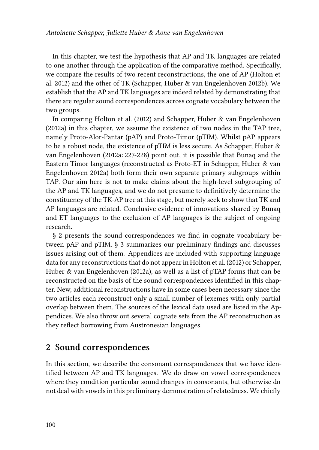In this chapter, we test the hypothesis that AP and TK languages are related to one another through the application of the comparative method. Specifically, we compare the results of two recent reconstructions, the one of AP [\(Holton et](#page-53-0) [al. 2012](#page-53-0)) and the other of TK([Schapper, Huber & van Engelenhoven 2012b](#page-55-1)). We establish that the AP and TK languages are indeed related by demonstrating that there are regular sound correspondences across cognate vocabulary between the two groups.

In comparing [Holton et al. \(2012\)](#page-53-0) and [Schapper, Huber & van Engelenhoven](#page-54-0) [\(2012a\)](#page-54-0) in this chapter, we assume the existence of two nodes in the TAP tree, namely Proto-Alor-Pantar (pAP) and Proto-Timor (pTIM). Whilst pAP appears to be a robust node, the existence of pTIM is less secure. As [Schapper, Huber &](#page-54-0) [van Engelenhoven \(2012a](#page-54-0): 227-228) point out, it is possible that Bunaq and the Eastern Timor languages (reconstructed as Proto-ET in [Schapper, Huber & van](#page-54-0) [Engelenhoven 2012a\)](#page-54-0) both form their own separate primary subgroups within TAP. Our aim here is not to make claims about the high-level subgrouping of the AP and TK languages, and we do not presume to definitively determine the constituency of the TK-AP tree at this stage, but merely seek to show that TK and AP languages are related. Conclusive evidence of innovations shared by Bunaq and ET languages to the exclusion of AP languages is the subject of ongoing research.

§ [2](#page-1-0) presents the sound correspondences we find in cognate vocabulary between pAP and pTIM. § [3](#page-27-0) summarizes our preliminary findings and discusses issues arising out of them. Appendices are included with supporting language data for any reconstructions that do not appear in [Holton et al. \(2012\)](#page-53-0) or [Schapper,](#page-54-0) [Huber & van Engelenhoven \(2012a\)](#page-54-0), as well as a list of pTAP forms that can be reconstructed on the basis of the sound correspondences identified in this chapter. New, additional reconstructions have in some cases been necessary since the two articles each reconstruct only a small number of lexemes with only partial overlap between them. The sources of the lexical data used are listed in the Appendices. We also throw out several cognate sets from the AP reconstruction as they reflect borrowing from Austronesian languages.

### <span id="page-1-0"></span>**2 Sound correspondences**

In this section, we describe the consonant correspondences that we have identified between AP and TK languages. We do draw on vowel correspondences where they condition particular sound changes in consonants, but otherwise do not deal with vowels in this preliminary demonstration of relatedness. We chiefly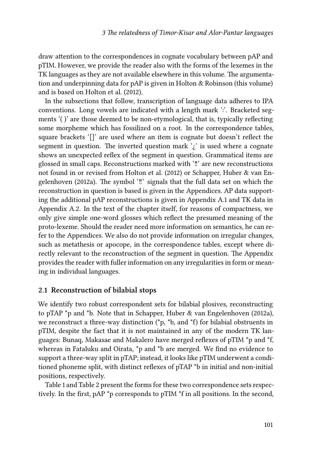draw attention to the correspondences in cognate vocabulary between pAP and pTIM. However, we provide the reader also with the forms of the lexemes in the TK languages as they are not available elsewhere in this volume. The argumentation and underpinning data for pAP is given in [Holton & Robinson \(this volume\)](#page-53-2) and is based on [Holton et al. \(2012\)](#page-53-0).

In the subsections that follow, transcription of language data adheres to IPA conventions. Long vowels are indicated with a length mark ':'. Bracketed segments '( )' are those deemed to be non-etymological, that is, typically reflecting some morpheme which has fossilized on a root. In the correspondence tables, square brackets '[]' are used where an item is cognate but doesn't reflect the segment in question. The inverted question mark  $i$  is used where a cognate shows an unexpected reflex of the segment in question. Grammatical items are glossed in small caps. Reconstructions marked with '‼' are new reconstructions not found in or revised from [Holton et al. \(2012\)](#page-53-0) or [Schapper, Huber & van En](#page-54-0)[gelenhoven \(2012a\)](#page-54-0). The symbol '‼' signals that the full data set on which the reconstruction in question is based is given in the Appendices. AP data supporting the additional pAP reconstructions is given in Appendix [A.1](#page-36-0) and TK data in Appendix [A.2.](#page-46-0) In the text of the chapter itself, for reasons of compactness, we only give simple one-word glosses which reflect the presumed meaning of the proto-lexeme. Should the reader need more information on semantics, he can refer to the Appendices. We also do not provide information on irregular changes, such as metathesis or apocope, in the correspondence tables, except where directly relevant to the reconstruction of the segment in question. The Appendix provides the reader with fuller information on any irregularities in form or meaning in individual languages.

#### **2.1 Reconstruction of bilabial stops**

We identify two robust correspondent sets for bilabial plosives, reconstructing to pTAP \*p and \*b. Note that in [Schapper, Huber & van Engelenhoven \(2012a\)](#page-54-0), we reconstruct a three-way distinction  $(*p, *b, and *f)$  for bilabial obstruents in pTIM, despite the fact that it is not maintained in any of the modern TK languages: Bunaq, Makasae and Makalero have merged reflexes of pTIM \*p and \*f, whereas in Fataluku and Oirata, \*p and \*b are merged. We find no evidence to support a three-way split in pTAP; instead, it looks like pTIM underwent a conditioned phoneme split, with distinct reflexes of pTAP \*b in initial and non-initial positions, respectively.

Table [1](#page-4-0) and Table [2](#page-5-0) present the forms for these two correspondence sets respectively. In the first, pAP \*p corresponds to pTIM \*f in all positions. In the second,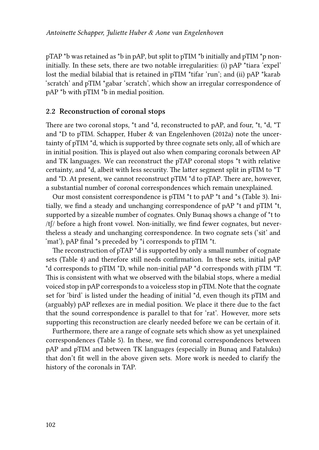pTAP \*b was retained as \*b in pAP, but split to pTIM \*b initially and pTIM \*p noninitially. In these sets, there are two notable irregularities: (i) pAP \*tiara 'expel' lost the medial bilabial that is retained in pTIM \*tifar 'run'; and (ii) pAP \*karab 'scratch' and pTIM \*gabar 'scratch', which show an irregular correspondence of pAP \*b with pTIM \*b in medial position.

#### **2.2 Reconstruction of coronal stops**

There are two coronal stops, \*t and \*d, reconstructed to pAP, and four, \*t, \*d, \*T and \*D to pTIM. [Schapper, Huber & van Engelenhoven \(2012a\)](#page-54-0) note the uncertainty of pTIM \*d, which is supported by three cognate sets only, all of which are in initial position. This is played out also when comparing coronals between AP and TK languages. We can reconstruct the pTAP coronal stops \*t with relative certainty, and \*d, albeit with less security. The latter segment split in pTIM to \*T and \*D. At present, we cannot reconstruct pTIM \*d to pTAP. There are, however, a substantial number of coronal correspondences which remain unexplained.

Our most consistent correspondence is pTIM \*t to pAP \*t and \*s (Table [3](#page-6-0)). Initially, we find a steady and unchanging correspondence of pAP \*t and pTIM \*t, supported by a sizeable number of cognates. Only Bunaq shows a change of \*t to /tʃ/ before a high front vowel. Non-initially, we find fewer cognates, but nevertheless a steady and unchanging correspondence. In two cognate sets ('sit' and 'mat'), pAP final \*s preceded by \*i corresponds to pTIM \*t.

The reconstruction of pTAP \*d is supported by only a small number of cognate sets (Table [4](#page-7-0)) and therefore still needs confirmation. In these sets, initial pAP \*d corresponds to pTIM \*D, while non-initial pAP \*d corresponds with pTIM \*T. This is consistent with what we observed with the bilabial stops, where a medial voiced stop in pAP corresponds to a voiceless stop in pTIM. Note that the cognate set for 'bird' is listed under the heading of initial \*d, even though its pTIM and (arguably) pAP reflexes are in medial position. We place it there due to the fact that the sound correspondence is parallel to that for 'rat'. However, more sets supporting this reconstruction are clearly needed before we can be certain of it.

Furthermore, there are a range of cognate sets which show as yet unexplained correspondences (Table [5\)](#page-8-0). In these, we find coronal correspondences between pAP and pTIM and between TK languages (especially in Bunaq and Fataluku) that don't fit well in the above given sets. More work is needed to clarify the history of the coronals in TAP.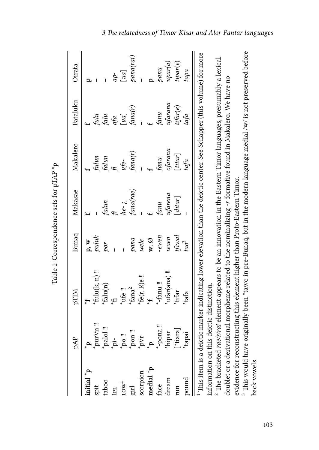|                       | AR               | рTIM                                                                                                                                                                             | Bunaq                     | Makasae                                                                                                                                                                                                                                                                                                                                                                                                                                                                                                                                                                                                                                      | Makalero             | Fataluku        | Oirata    |
|-----------------------|------------------|----------------------------------------------------------------------------------------------------------------------------------------------------------------------------------|---------------------------|----------------------------------------------------------------------------------------------------------------------------------------------------------------------------------------------------------------------------------------------------------------------------------------------------------------------------------------------------------------------------------------------------------------------------------------------------------------------------------------------------------------------------------------------------------------------------------------------------------------------------------------------|----------------------|-----------------|-----------|
| initial *p            | م                |                                                                                                                                                                                  | p, w                      |                                                                                                                                                                                                                                                                                                                                                                                                                                                                                                                                                                                                                                              |                      |                 |           |
| spit                  | " nvuq           | $*$ fulu $(k, n)$ ‼                                                                                                                                                              | puluk                     |                                                                                                                                                                                                                                                                                                                                                                                                                                                                                                                                                                                                                                              | fulun                | fulu            |           |
| taboo                 | " Iolaq!         | $*$ falu $(n)$                                                                                                                                                                   | por                       | falun                                                                                                                                                                                                                                                                                                                                                                                                                                                                                                                                                                                                                                        | falun                | falu            |           |
| 191                   | 'n,              | $\sharp$                                                                                                                                                                         |                           |                                                                                                                                                                                                                                                                                                                                                                                                                                                                                                                                                                                                                                              |                      |                 | $dp-$     |
| $LOW^1$               | i od,            | $*$ ufe ‼                                                                                                                                                                        |                           | $he \dot{c}$                                                                                                                                                                                                                                                                                                                                                                                                                                                                                                                                                                                                                                 | $\iota$ fe-          | $afa$<br>$[ud]$ | [ud]      |
| girl                  | $\mathsf{h}$ uod | $*_{\text{fand}}^2$                                                                                                                                                              | pana                      | fana(rae)                                                                                                                                                                                                                                                                                                                                                                                                                                                                                                                                                                                                                                    | fana(r)              | fana(r)         | pana(rai, |
|                       | $N_{\rm A}$      | $*$ fe $(r, R)$ e ‼                                                                                                                                                              | wele                      |                                                                                                                                                                                                                                                                                                                                                                                                                                                                                                                                                                                                                                              |                      |                 |           |
| scorpion<br>medial *p | a,               | $\ddot{\mathbf{t}}$                                                                                                                                                              | $\mathbf{w}, \mathcal{O}$ |                                                                                                                                                                                                                                                                                                                                                                                                                                                                                                                                                                                                                                              |                      |                 |           |
| face                  | " pona!          | *-fanu ‼                                                                                                                                                                         | $-$ ewen                  | fanu                                                                                                                                                                                                                                                                                                                                                                                                                                                                                                                                                                                                                                         | fanu                 | fanu            | panu      |
| dream                 | *hipar           | *ufar(ana)                                                                                                                                                                       | waen                      | ufarena                                                                                                                                                                                                                                                                                                                                                                                                                                                                                                                                                                                                                                      | ofarana              | ufarana         | upar(a)   |
| run                   | [*tiara]         | *tifar                                                                                                                                                                           | tfiwal                    | $[ditar] % \begin{center} % \includegraphics[width=\linewidth]{imagesSupplemental_3.png} % \end{center} % \caption { % Our method can be used for a different method. % Note that the \emph{exponent} and the \emph{exponent} is the \emph{exponent} and the \emph{exponent} is the \emph{exponent} and the \emph{exponent} is the \emph{exponent} and the \emph{exponent} is the \emph{exponent} and the \emph{exponent} is the \emph{exponent} and the \emph{exponent} is the \emph{exponent} and the \emph{exponent} is the \emph{exponent} and the \emph{exponent} is the \emph{exponent} and the \emph{exponent} is the \emph{exponent$ | $[$ <i>titar</i> $]$ | tifar(e)        | tipar(e)  |
| pound                 | tapai            | *tafa                                                                                                                                                                            | tao <sup>3</sup>          |                                                                                                                                                                                                                                                                                                                                                                                                                                                                                                                                                                                                                                              | tafa                 | tafa            | tapa      |
|                       |                  | This item is a deictic marker indicating lower elevation than the deictic center. See Schapper (this volume) for more                                                            |                           |                                                                                                                                                                                                                                                                                                                                                                                                                                                                                                                                                                                                                                              |                      |                 |           |
|                       |                  |                                                                                                                                                                                  |                           |                                                                                                                                                                                                                                                                                                                                                                                                                                                                                                                                                                                                                                              |                      |                 |           |
|                       |                  | information on this deictic distinction.<br><sup>2</sup> The bracketed <i>rae/r/rai</i> element appears to be an innovation in the Eastern Timor languages, presumably a lexical |                           |                                                                                                                                                                                                                                                                                                                                                                                                                                                                                                                                                                                                                                              |                      |                 |           |
|                       |                  | doublet or a derivational morpheme related to the nominalizing -r formative found in Makalero. We have no                                                                        |                           |                                                                                                                                                                                                                                                                                                                                                                                                                                                                                                                                                                                                                                              |                      |                 |           |
|                       |                  | evidence for reconstructing this element higher than Proto-Eastern Timor.                                                                                                        |                           |                                                                                                                                                                                                                                                                                                                                                                                                                                                                                                                                                                                                                                              |                      |                 |           |
|                       |                  | <sup>3</sup> This would have originally been *tawo in pre-Bunaq, but in the modern language medial/w/ is not preserved before                                                    |                           |                                                                                                                                                                                                                                                                                                                                                                                                                                                                                                                                                                                                                                              |                      |                 |           |
| back vowels.          |                  |                                                                                                                                                                                  |                           |                                                                                                                                                                                                                                                                                                                                                                                                                                                                                                                                                                                                                                              |                      |                 |           |

<span id="page-4-0"></span>Table 1: Correspondence sets for pTAP  $^{\ast} \mathrm{p}$ Table 1: Correspondence sets for pTAP \*p *3 The relatedness of Timor-Kisar and Alor-Pantar languages*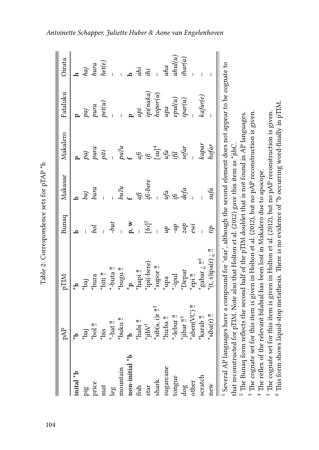|                            | $\ensuremath{\mathrm{P\!A}\!P}$             | pTIM                                                                                                                                                                                                                          | Bunaq          | Makasae    | Makalero               | Fataluku       | Oirata  |
|----------------------------|---------------------------------------------|-------------------------------------------------------------------------------------------------------------------------------------------------------------------------------------------------------------------------------|----------------|------------|------------------------|----------------|---------|
| $intial * b$               | $\mathbf{q}^*$                              | ڝۭ                                                                                                                                                                                                                            | ≏              |            |                        | $\overline{a}$ |         |
| pig                        | bai                                         | $*baj$                                                                                                                                                                                                                        |                | baj        | paj                    | paj            | haj     |
| price                      | $\ddot{\mathrm{i}}$ loq $\ddot{\mathrm{i}}$ | *bura                                                                                                                                                                                                                         | pol            | bura       | pura                   | pura           | hura    |
| $\operatorname{mat}$       | siq.                                        | $*$ biti ‼                                                                                                                                                                                                                    |                |            | piti                   | pet(u)         | het(e)  |
| $\log$                     | *-bat!                                      | $!$ buta $!$                                                                                                                                                                                                                  | $-but$         |            |                        |                |         |
| mountain                   | *buku ‼                                     | " nguq                                                                                                                                                                                                                        |                | $b$ u $2u$ | pu2u                   |                |         |
| non-initial *b             | $\mathbf{q}^*$                              |                                                                                                                                                                                                                               | p, w           |            |                        |                |         |
| fish                       | $*habi$ !!                                  | *hapi!                                                                                                                                                                                                                        |                | бр         | ф                      | api            | ahi     |
| star                       | *jib $V^1$                                  | $\boldsymbol{``}$ ipi(-bere)                                                                                                                                                                                                  | $[bi]^2$       | ifi-bere   | ij                     | ipi(naka)      | ihi     |
| shark                      | *sib $(a, i)r$ !! <sup>3</sup>              | " supor                                                                                                                                                                                                                       |                |            | $\lfloor su \rfloor^4$ | hopor(u)       |         |
| sugarcane                  | *hu:ba‼                                     | *upa                                                                                                                                                                                                                          | $\overline{u}$ | ufa        | ufa                    | upa            | uha     |
| tongue                     | *-lebur ‼                                   | Indr <sub>*</sub>                                                                                                                                                                                                             | an-            | ij         | ifil                   | epul(u)        | uhul(u) |
| dog                        | "jibar ‼ <sup>5</sup>                       | *Depar                                                                                                                                                                                                                        | d              | defa       | sefar                  | ipar(u)        | ihar(a) |
| other                      | aben(VC) ‼                                  | "epi"                                                                                                                                                                                                                         | ewi            |            |                        |                |         |
| scratch                    | *karab‼                                     | gabar ¿ ‼ <sup>6</sup>                                                                                                                                                                                                        |                |            | kapar                  | kafur(e)       |         |
| new                        | *siba $(r)$ ‼                               | *(t, s)ipa(r) $\zeta$ !!                                                                                                                                                                                                      | tip            | sufa       | hofar                  |                |         |
|                            |                                             | Several AP languages have a compound for 'star', although the second element does not appear to be cognate to                                                                                                                 |                |            |                        |                |         |
|                            |                                             |                                                                                                                                                                                                                               |                |            |                        |                |         |
|                            |                                             |                                                                                                                                                                                                                               |                |            |                        |                |         |
|                            |                                             | that reconstructed for pTIM. Note also that Holton et al. (2012) gave this item as "jibC. $^2$ The Bunaq form reflects the second half of the pTIM doublet that is not found in AP languages. $^3$ The cognate set for this i |                |            |                        |                |         |
|                            |                                             |                                                                                                                                                                                                                               |                |            |                        |                |         |
| $^{\rm 5}$ The cognate set |                                             | for this item is given in Holton et al. (2012), but no pAP reconstruction is given.                                                                                                                                           |                |            |                        |                |         |

 $^6$  This form shows liquid-stop metathesis. There is no evidence of  $^*{\rm b}$  occurring word-finally in pTIM. This form shows liquid-stop metathesis. There is no evidence of \*b occurring word-finally in pTIM.

<span id="page-5-0"></span>Table 2: Correspondence sets for nTAP \*b Table 2: Correspondence sets for pTAP \*b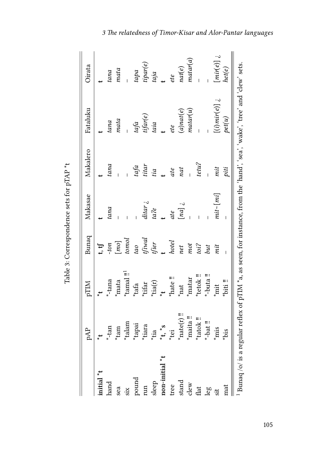<span id="page-6-0"></span>

| *<br>F<br>F<br>$\frac{1}{2}$<br>ı |  |
|-----------------------------------|--|
| rannondanoa cato                  |  |
| ı<br>(<br>,<br>$\frac{1}{c}$      |  |

|              | pAP                                                                                                                 | pTIM                                                               | Bunaq                                                                                                                                                                                                                                                                    | Makasae                                                                                | Makalero | Fataluku                                                                                                                                  | Oirata                            |
|--------------|---------------------------------------------------------------------------------------------------------------------|--------------------------------------------------------------------|--------------------------------------------------------------------------------------------------------------------------------------------------------------------------------------------------------------------------------------------------------------------------|----------------------------------------------------------------------------------------|----------|-------------------------------------------------------------------------------------------------------------------------------------------|-----------------------------------|
| $initial *t$ |                                                                                                                     |                                                                    | $\mathfrak{j}_\mathfrak{j}$                                                                                                                                                                                                                                              |                                                                                        |          |                                                                                                                                           |                                   |
| hand         | tan                                                                                                                 | *-tana                                                             | i                                                                                                                                                                                                                                                                        | tana                                                                                   | tana     | tana                                                                                                                                      | tana                              |
| sea          | tam                                                                                                                 | *mata                                                              | $[mg] \centering% \includegraphics[width=1.0\textwidth]{Figures/PN1.png} \caption{The 3D (top) and the 4D (bottom) of the 3D (bottom) and the 4D (bottom) of the 3D (bottom) and the 4D (bottom) of the 3D (bottom). The 3D (bottom) is the 3D (bottom).} \label{fig:1}$ |                                                                                        |          | mata                                                                                                                                      | mata                              |
| $\sin x$     | talam*                                                                                                              | tamal!                                                             | tomol                                                                                                                                                                                                                                                                    |                                                                                        |          |                                                                                                                                           |                                   |
| pound        | $\displaystyle{{\raisebox{0.6ex}{\scriptsize{*}}}}$ tapai $\displaystyle{{\raisebox{0.6ex}{\scriptsize{*}}}}$ tiara | tafa <sup>,</sup>                                                  | tao                                                                                                                                                                                                                                                                      |                                                                                        | tafa     | tag a                                                                                                                                     | tapa                              |
| run          |                                                                                                                     | tifar <sup>*</sup>                                                 | $t$ fiwal                                                                                                                                                                                                                                                                | ditar į.                                                                               | titar    | tifare)                                                                                                                                   | tipar(e)                          |
| sleep        | $\epsilon_{\rm tia}$                                                                                                | $\begin{array}{l} \ast \text{tia(r)} \\ \ast \text{t} \end{array}$ | tfier                                                                                                                                                                                                                                                                    | tale                                                                                   | tia      | taia                                                                                                                                      | taja                              |
| non-ini      | $*_{\text{tel}}^*$                                                                                                  |                                                                    | $\frac{1}{2}$                                                                                                                                                                                                                                                            |                                                                                        |          |                                                                                                                                           |                                   |
| tree         |                                                                                                                     | *hate !!                                                           | hotel                                                                                                                                                                                                                                                                    | ate                                                                                    | ate      | etc                                                                                                                                       | etc                               |
| stand        | $\frac{1}{n}$ ate(r) $\frac{1}{n}$                                                                                  | $hat{m}$                                                           | net                                                                                                                                                                                                                                                                      | $\left[ \begin{smallmatrix} na\end{smallmatrix} \right] \stackrel{\cdot}{\mathcal{E}}$ | nat      | $(a)$ nat $(e)$                                                                                                                           | nat(e)                            |
| dev          | *maita ‼                                                                                                            | $*matar$                                                           | mot                                                                                                                                                                                                                                                                      |                                                                                        |          | mata(u)                                                                                                                                   | $\mathit{matar}(a)$               |
| flat         | *tatok!                                                                                                             | *tetok!                                                            | $toi7$                                                                                                                                                                                                                                                                   |                                                                                        | tetu?    |                                                                                                                                           |                                   |
| leg          | $*$ -bat !!                                                                                                         | $"$ -buta!                                                         | but                                                                                                                                                                                                                                                                      |                                                                                        |          |                                                                                                                                           |                                   |
| $\ddot{a}$   | $\mathop{\text{min}}\nolimits^*$                                                                                    | $\ddot{\rm m}$                                                     | mit                                                                                                                                                                                                                                                                      | $mit{\small \sim}[mi]$                                                                 | тit      | $[(i) mir(e)]$                                                                                                                            | $[\mathit{min}(e)]$ $\mathcal{E}$ |
| mai          | siq,                                                                                                                | *biti ‼                                                            |                                                                                                                                                                                                                                                                          |                                                                                        | piti     | pet(u)                                                                                                                                    | het(e)                            |
|              |                                                                                                                     |                                                                    |                                                                                                                                                                                                                                                                          |                                                                                        |          | <sup>1</sup> Bunaq /o/ is a regular reflex of pTIM $^*$ a, as seen, for instance, from the 'hand', 'sea', 'wake', 'tree' and 'clew' sets. |                                   |

# *3 The relatedness of Timor-Kisar and Alor-Pantar languages*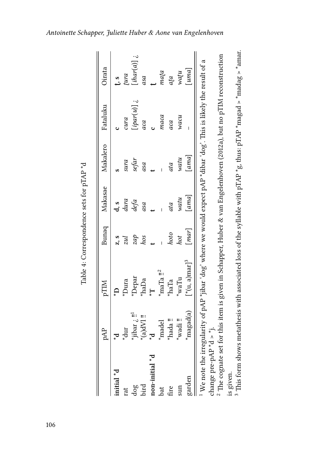|                              | pAP                                | pTIM                                                                                                                                   | Bunaq            | Makasae                                                                                                                                                                                                                                                                                                                                                                                                                                                                                                     | Makalero | Fataluku                              | Oirata                   |
|------------------------------|------------------------------------|----------------------------------------------------------------------------------------------------------------------------------------|------------------|-------------------------------------------------------------------------------------------------------------------------------------------------------------------------------------------------------------------------------------------------------------------------------------------------------------------------------------------------------------------------------------------------------------------------------------------------------------------------------------------------------------|----------|---------------------------------------|--------------------------|
| initial *d                   |                                    |                                                                                                                                        |                  |                                                                                                                                                                                                                                                                                                                                                                                                                                                                                                             |          |                                       | د ا                      |
| rat                          | $*dur$                             | Dura                                                                                                                                   | zul              | dura                                                                                                                                                                                                                                                                                                                                                                                                                                                                                                        | pins     | cura                                  | pura                     |
| dog                          | "jibar $i$ . $\mathbb{I}^1$        | Depar                                                                                                                                  | dvz              | defa                                                                                                                                                                                                                                                                                                                                                                                                                                                                                                        | sefar    | $\left[$ ipar $(u) \right]$ $\dot{c}$ | $[ihar(a)] \; \dot{\wr}$ |
| bird                         | $\ddot{\rm u}$ LAP(e) <sub>*</sub> | haDa                                                                                                                                   | hos              | asa                                                                                                                                                                                                                                                                                                                                                                                                                                                                                                         | asa      | aca                                   | nsa                      |
| non-initial *d               |                                    |                                                                                                                                        |                  |                                                                                                                                                                                                                                                                                                                                                                                                                                                                                                             |          |                                       |                          |
| bat                          | madel*                             | $^*$ ma<br>Ta $\mathord!\mathord!^2$                                                                                                   |                  |                                                                                                                                                                                                                                                                                                                                                                                                                                                                                                             |          | таса                                  | mata                     |
| fire                         | *hada!                             | *haTa                                                                                                                                  | hoto             | ata                                                                                                                                                                                                                                                                                                                                                                                                                                                                                                         | ata      | aca                                   | aţa                      |
| sun                          | $"\mathsf{wadi}$ !                 | $*_{\text{waTu}}$                                                                                                                      | hot              | $w$ atu                                                                                                                                                                                                                                                                                                                                                                                                                                                                                                     | $w$ atu  | $\omega$ acu                          | $\omega$ atu             |
| garden                       | *magad(a)                          | $\left[ \begin{smallmatrix} * (u, a) \text{mar} \end{smallmatrix} \right]^3$                                                           | $[\textit{mar}]$ | $[ama] % \begin{center} \includegraphics[width=\linewidth]{imagesSupplemental.jpg} \end{center} % \caption { % \textit{DefNet} and \textit{DefNet}~\textit{DefNet}~\textit{DefNet}~\textit{DefNet}~\textit{DefNet}~\textit{DefNet}~\textit{DefNet}~\textit{DefNet}~\textit{DefNet}~\textit{DefNet}~\textit{DefNet}~\textit{DefNet}~\textit{DefNet}~\textit{DefNet}~\textit{DefNet}~\textit{DefNet}~\textit{DefNet}~\textit{DefNet}~\textit{DefNet}~\textit{DefNet}~\textit{DefNet}~\textit{DefNet}~\textit$ | $ $ ama  |                                       | $\lfloor$ uma            |
|                              |                                    | <sup>1</sup> We note the irregularity of pAP *jibar 'dog' where we would expect pAP *dibar 'dog'. This is likely the result of a       |                  |                                                                                                                                                                                                                                                                                                                                                                                                                                                                                                             |          |                                       |                          |
| change pre-pAP $*d$ > $*j$ . |                                    |                                                                                                                                        |                  |                                                                                                                                                                                                                                                                                                                                                                                                                                                                                                             |          |                                       |                          |
|                              |                                    | $^2$ The cognate set for this item is given in Schapper, Huber & van Engelenhoven (2012a), but no pTIM reconstruction                  |                  |                                                                                                                                                                                                                                                                                                                                                                                                                                                                                                             |          |                                       |                          |
| is given.                    |                                    |                                                                                                                                        |                  |                                                                                                                                                                                                                                                                                                                                                                                                                                                                                                             |          |                                       |                          |
|                              |                                    | $^3$ This form shows metathesis with associated loss of the syllable with pTAP $^*$ g, thus: pTAP $^*$ magad > $^*$ madag > $^*$ amar. |                  |                                                                                                                                                                                                                                                                                                                                                                                                                                                                                                             |          |                                       |                          |

<span id="page-7-0"></span>Table 4: Correspondence sets for pTAP \*d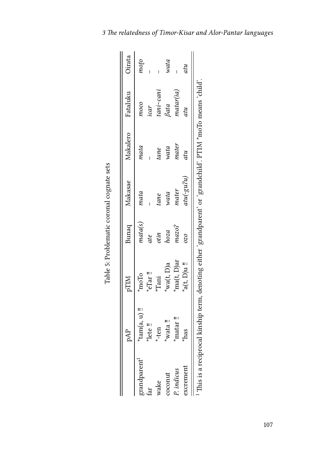<span id="page-8-0"></span>Table 5: Problematic coronal cognate sets

|                         | pAP                                                                                                         | pTIM                | Bunaq   | Makasae            | Makalero | Fataluku    | Oirata |
|-------------------------|-------------------------------------------------------------------------------------------------------------|---------------------|---------|--------------------|----------|-------------|--------|
| randparent <sup>1</sup> | $*tan(a, u)$ !!                                                                                             | moTo                | nata(s) | mata               | mata     | moco        | noto   |
| İar                     | lete !                                                                                                      | 'eTar ‼             | ate     |                    |          | icar        |        |
| wake                    | -ten                                                                                                        | $*_{\mathrm{Tani}}$ | otin    | tane               | tane     | ani~cani    |        |
| coconut                 | 'wata ‼                                                                                                     | wa(t, D)a           | hoza    | wata               | wata     | <b>Bata</b> | wata   |
| <i>indicus</i>          | $\lim_{\alpha}$                                                                                             | ma(t, D)ar          | nazo'l  | nater              | mater    | natar(ia)   |        |
| excrement               | ast <sub>*</sub>                                                                                            | $a(t, D)u$ !        | 020     | $\int_0^1 u(x) dx$ | atu      | ztu         | иu     |
|                         | This is a reciprocal kinship term, denoting either 'grandparent' or 'grandchild'. PTIM *moTo means 'child'. |                     |         |                    |          |             |        |

### 3 The relatedness of Timor-Kisar and Alor-Pantar languages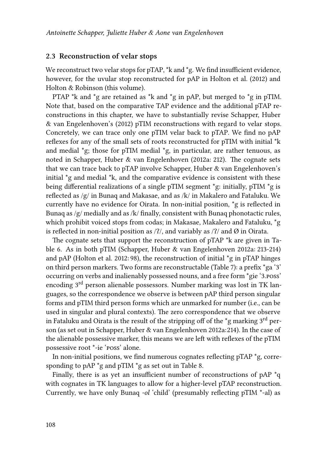#### **2.3 Reconstruction of velar stops**

We reconstruct two velar stops for pTAP, \*k and \*g. We find insufficient evidence, however, for the uvular stop reconstructed for pAP in [Holton et al. \(2012\)](#page-53-0) and [Holton & Robinson \(this volume\)](#page-53-2).

PTAP \*k and \*g are retained as \*k and \*g in pAP, but merged to \*g in pTIM. Note that, based on the comparative TAP evidence and the additional pTAP reconstructions in this chapter, we have to substantially revise [Schapper, Huber](#page-55-1) [& van Engelenhoven'](#page-55-1)s (2012) pTIM reconstructions with regard to velar stops. Concretely, we can trace only one pTIM velar back to pTAP. We find no pAP reflexes for any of the small sets of roots reconstructed for pTIM with initial \*k and medial  $\check{\gamma}$ g; those for pTIM medial  $\check{\gamma}$ g, in particular, are rather tenuous, as noted in [Schapper, Huber & van Engelenhoven \(2012a:](#page-54-0) 212). The cognate sets that we can trace back to pTAP involve [Schapper, Huber & van Engelenhoven'](#page-55-1)s initial \*g and medial \*k, and the comparative evidence is consistent with these being differential realizations of a single pTIM segment  $*g$ : initially, pTIM  $*g$  is reflected as /g/ in Bunaq and Makasae, and as /k/ in Makalero and Fataluku. We currently have no evidence for Oirata. In non-initial position, \*g is reflected in Bunaq as /g/ medially and as /k/ finally, consistent with Bunaq phonotactic rules, which prohibit voiced stops from codas; in Makasae, Makalero and Fataluku, \*g is reflected in non-initial position as  $/2/$ , and variably as  $/2/$  and Ø in Oirata.

The cognate sets that support the reconstruction of pTAP \*k are given in Table [6](#page-10-0). As in both pTIM [\(Schapper, Huber & van Engelenhoven 2012a:](#page-54-0) 213-214) and pAP([Holton et al. 2012:](#page-53-0) 98), the reconstruction of initial \*g in pTAP hinges on third person markers. Two forms are reconstructable (Table [7](#page-11-0)): a prefix \*ga '3' occurring on verbs and inalienably possessed nouns, and a free form \*gie '3.poss' encoding 3<sup>rd</sup> person alienable possessors. Number marking was lost in TK languages, so the correspondence we observe is between pAP third person singular forms and pTIM third person forms which are unmarked for number (i.e., can be used in singular and plural contexts). The zero correspondence that we observe in Fataluku and Oirata is the result of the stripping off of the \*g marking 3<sup>rd</sup> person (as set out in [Schapper, Huber & van Engelenhoven 2012a:](#page-54-0)214). In the case of the alienable possessive marker, this means we are left with reflexes of the pTIM possessive root \*-ie 'poss' alone.

In non-initial positions, we find numerous cognates reflecting  $pTAP * g$ , corresponding to pAP \*g and pTIM \*g as set out in Table [8](#page-12-0).

Finally, there is as yet an insufficient number of reconstructions of pAP \*q with cognates in TK languages to allow for a higher-level pTAP reconstruction. Currently, we have only Bunaq *-ol* 'child' (presumably reflecting pTIM \*-al) as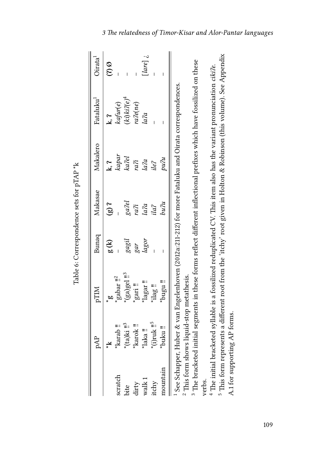<span id="page-10-0"></span>

|                   |                                                                              |                                                                                                                                                                                                                                                                                                                                                                                                                                                                                                                         |          | Table 6: Correspondence sets for pTAP *k |          |                       |                     |
|-------------------|------------------------------------------------------------------------------|-------------------------------------------------------------------------------------------------------------------------------------------------------------------------------------------------------------------------------------------------------------------------------------------------------------------------------------------------------------------------------------------------------------------------------------------------------------------------------------------------------------------------|----------|------------------------------------------|----------|-----------------------|---------------------|
|                   | PAP                                                                          | pTIM                                                                                                                                                                                                                                                                                                                                                                                                                                                                                                                    | Bunaq    | Makasae                                  | Makalero | Fataluku <sup>l</sup> | Oirata <sup>1</sup> |
|                   |                                                                              | g                                                                                                                                                                                                                                                                                                                                                                                                                                                                                                                       | g(k)     | $\left(\beta\right)$ ?                   | k, 2     | k, 2                  | $\varnothing$       |
| scratch           | *karab‼                                                                      | $^*$ gabar $\mathop{!}\nolimits^2$                                                                                                                                                                                                                                                                                                                                                                                                                                                                                      |          |                                          | kapar    | kafur(e)              |                     |
| bite              | $^*(t a)$ ki $\mathbb{I}^3$                                                  | $*(ga)$ gel ‼ <sup>3</sup>                                                                                                                                                                                                                                                                                                                                                                                                                                                                                              | $g$ agil | ga?el                                    | ka?el    | $(ki)ki\ell (e)^4$    |                     |
| dirty             | *karok!                                                                      | " gari                                                                                                                                                                                                                                                                                                                                                                                                                                                                                                                  | gar      | ra?i                                     | rali     | ra?e(ne)              |                     |
| walk <sub>1</sub> | *laka!                                                                       | *lagar!!                                                                                                                                                                                                                                                                                                                                                                                                                                                                                                                | lagor    | lala                                     | lala     | lala                  | [lare] $\zeta$      |
| itchy             | *(i)ruk ‼ <sup>5</sup>                                                       | *ilag !!                                                                                                                                                                                                                                                                                                                                                                                                                                                                                                                |          | ila?                                     | ile?     |                       |                     |
| mountain          | *buku ‼                                                                      | "bugu"                                                                                                                                                                                                                                                                                                                                                                                                                                                                                                                  |          | $b$ u $2u$                               | pu?u     |                       |                     |
| verbs.            | $^2$ This form shows liquid-stop metathesis.<br>A.1 for supporting AP forms. | $^5$ This form represents a different root from the 'itchy' root given in Holton & Robinson (this volume). See Appendix<br><sup>3</sup> The bracketed initial segments in these forms reflect different inflectional prefixes which have fossilized on these<br><sup>4</sup> The initial bracketed syllable is a fossilized reduplicated CV. This item also has the variant pronunciation cikile.<br><sup>1</sup> See Schapper, Huber & van Engelenhoven (2012a: 211-212) for more Fataluku and Oirata correspondences. |          |                                          |          |                       |                     |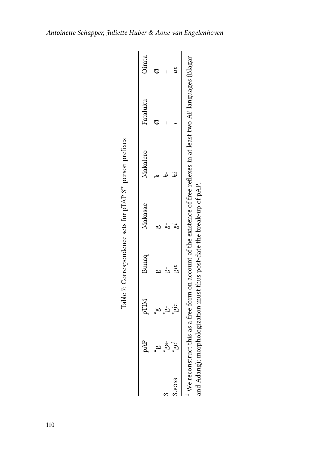|                 | <b>NILO</b> | Bunaq | Makasae                                                | Makalero | Fataluku                                                                                              | Oirata |
|-----------------|-------------|-------|--------------------------------------------------------|----------|-------------------------------------------------------------------------------------------------------|--------|
|                 |             |       |                                                        |          |                                                                                                       |        |
|                 |             |       |                                                        |          |                                                                                                       |        |
|                 |             |       |                                                        |          |                                                                                                       |        |
| .POSS           | *gie        | gie   |                                                        |          |                                                                                                       | иe     |
| Ve reconstruct  |             |       |                                                        |          | this as a free form on account of the existence of free reflexes in at least two AP languages (Blagar |        |
| and Adang); mor |             |       | phologization must thus post-date the break-up of pAP. |          |                                                                                                       |        |

<span id="page-11-0"></span>

| こうしょう こうりょう<br>ł                                                                   |
|------------------------------------------------------------------------------------|
| ۱                                                                                  |
| j<br>r<br>F                                                                        |
| ı<br>ł                                                                             |
| ;<br>Ć<br>l                                                                        |
|                                                                                    |
| - 2<br>2<br>2<br>2<br>2<br>2<br>2<br>2<br>2<br>2<br>2<br>2<br>2<br>2<br>2<br><br>i |
| O<br>Ì                                                                             |
|                                                                                    |

Antoinette Schapper, Juliette Huber & Aone van Engelenhoven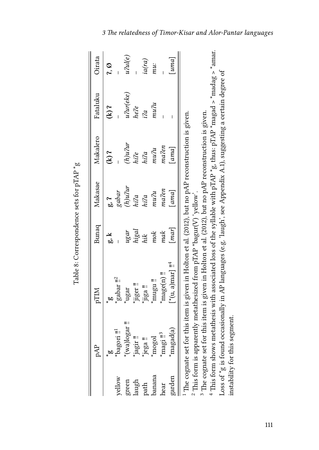|                     |                                                                                                                                                                                                                                                                                                                                                                                                                                                              |                                                                                                                                        |                  | g Find to mondoned in the most |                  |                     |                       |
|---------------------|--------------------------------------------------------------------------------------------------------------------------------------------------------------------------------------------------------------------------------------------------------------------------------------------------------------------------------------------------------------------------------------------------------------------------------------------------------------|----------------------------------------------------------------------------------------------------------------------------------------|------------------|--------------------------------|------------------|---------------------|-----------------------|
|                     | Hq                                                                                                                                                                                                                                                                                                                                                                                                                                                           | рTIM                                                                                                                                   | Bunaq            | Makasae                        | Makalero         | Fataluku            | Oirata                |
|                     |                                                                                                                                                                                                                                                                                                                                                                                                                                                              | Ы                                                                                                                                      |                  | g<br>Sò                        | $(k)$ ?          | $(k)$ ?             | 2, Ø                  |
| yellow              | $^*$ bagori ‼ $^1$                                                                                                                                                                                                                                                                                                                                                                                                                                           | 'gabar ‼ <sup>2</sup>                                                                                                                  |                  | gabar                          |                  |                     |                       |
| green               |                                                                                                                                                                                                                                                                                                                                                                                                                                                              | ugar*                                                                                                                                  | ugar             | $(h)$ u $2$ ur                 | $(h)$ u $2$ ur   | $u$ ? $u$ r $(eke)$ | u2ul(e)               |
| laugh               |                                                                                                                                                                                                                                                                                                                                                                                                                                                              | jiger !!                                                                                                                               | higal            | hila                           | hile             | hele                |                       |
| path                | $\begin{array}{l} \text{1}\ \text{0}\ \text{3}\ \text{m},\\ \text{2}\ \text{m},\\ \text{3}\ \text{m},\\ \text{4}\ \text{m},\\ \text{5}\ \text{m},\\ \text{m},\\ \text{m},\\ \text{m},\\ \text{m},\\ \text{m},\\ \text{m},\\ \text{m},\\ \text{m},\\ \text{m},\\ \text{m},\\ \text{m},\\ \text{m},\\ \text{m},\\ \text{m},\\ \text{m},\\ \text{m},\\ \text{m},\\ \text{m},\\ \text{m},\\ \text{m},\\ \text{m},\\ \text{m},\\ \text{m},\\ \text{m},\\ \text{m$ | $*_{\mbox{jiga}}$ !!                                                                                                                   | hik              | hila                           | hila             | ila                 | ia(n)                 |
| banana              |                                                                                                                                                                                                                                                                                                                                                                                                                                                              | "myum"                                                                                                                                 | $m$ ok           | $mu$ $\Omega$                  | $mu \mathcal{U}$ | $mu$ $\mathcal{U}$  | mu:                   |
| hear                | $^*$ magi $\mathfrak{m}^3$                                                                                                                                                                                                                                                                                                                                                                                                                                   | $\frac{m}{2}$ mage(n) $\frac{m}{2}$                                                                                                    | mak              | ma2en                          | ma2en            |                     | Ī                     |
| garden              | *magad(a)                                                                                                                                                                                                                                                                                                                                                                                                                                                    | $\left[\begin{smallmatrix} * (u, a) max \end{smallmatrix}\right] \stackrel{\text{if} 4}{\ldots}$                                       | $[\textit{mar}]$ | $[\textit{ama}]$               | $[\textit{ama}]$ |                     | $\lfloor uma \rfloor$ |
|                     |                                                                                                                                                                                                                                                                                                                                                                                                                                                              | The cognate set for this item is given in Holton et al. (2012), but no pAP reconstruction is given.                                    |                  |                                |                  |                     |                       |
|                     |                                                                                                                                                                                                                                                                                                                                                                                                                                                              | $^2$ This form is apparently metathesized from pTAP $^*$ bagur(V) 'yellow'.                                                            |                  |                                |                  |                     |                       |
|                     |                                                                                                                                                                                                                                                                                                                                                                                                                                                              | $^3$ The cognate set for this item is given in Holton et al. (2012), but no pAP reconstruction is given.                               |                  |                                |                  |                     |                       |
|                     |                                                                                                                                                                                                                                                                                                                                                                                                                                                              | $^4$ This form shows metathesis with associated loss of the syllable with pTAP $^*$ g, thus: pTAP $^*$ magad > $^*$ madag > $^*$ amar. |                  |                                |                  |                     |                       |
|                     |                                                                                                                                                                                                                                                                                                                                                                                                                                                              | Loss of *g is found occasionally in AP languages (e.g. 'laugh', see Appendix A.1), suggesting a certain degree of                      |                  |                                |                  |                     |                       |
| instability for thi | is segment.                                                                                                                                                                                                                                                                                                                                                                                                                                                  |                                                                                                                                        |                  |                                |                  |                     |                       |

<span id="page-12-0"></span>Table 8: Correspondence sets for pTAP  $*_{g}$ Table 8: Correspondence sets for pTAP  $^*{\rm g}$  *3 The relatedness of Timor-Kisar and Alor-Pantar languages*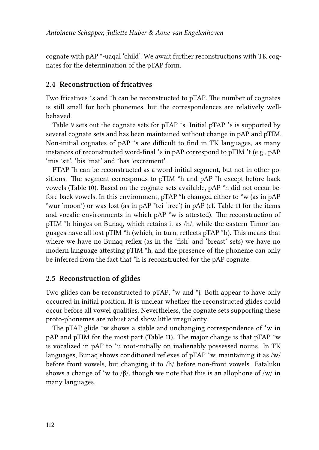cognate with pAP \*-uaqal 'child'. We await further reconstructions with TK cognates for the determination of the pTAP form.

#### **2.4 Reconstruction of fricatives**

Two fricatives \*s and \*h can be reconstructed to pTAP. The number of cognates is still small for both phonemes, but the correspondences are relatively wellbehaved.

Table [9](#page-14-0) sets out the cognate sets for  $pTAP$  \*s. Initial  $pTAP$  \*s is supported by several cognate sets and has been maintained without change in pAP and pTIM. Non-initial cognates of pAP \*s are difficult to find in TK languages, as many instances of reconstructed word-final \*s in pAP correspond to pTIM \*t (e.g., pAP \*mis 'sit', \*bis 'mat' and \*has 'excrement'.

PTAP \*h can be reconstructed as a word-initial segment, but not in other positions. The segment corresponds to pTIM \*h and pAP \*h except before back vowels (Table [10\)](#page-15-0). Based on the cognate sets available, pAP \*h did not occur before back vowels. In this environment, pTAP \*h changed either to \*w (as in pAP \*wur 'moon') or was lost (as in pAP \*tei 'tree') in pAP (cf. Table [11](#page-17-0) for the items and vocalic environments in which pAP \*w is attested). The reconstruction of pTIM \*h hinges on Bunaq, which retains it as /h/, while the eastern Timor languages have all lost pTIM \*h (which, in turn, reflects pTAP \*h). This means that where we have no Bunaq reflex (as in the 'fish' and 'breast' sets) we have no modern language attesting pTIM \*h, and the presence of the phoneme can only be inferred from the fact that \*h is reconstructed for the pAP cognate.

#### **2.5 Reconstruction of glides**

Two glides can be reconstructed to pTAP, \*w and \*j. Both appear to have only occurred in initial position. It is unclear whether the reconstructed glides could occur before all vowel qualities. Nevertheless, the cognate sets supporting these proto-phonemes are robust and show little irregularity.

The pTAP glide \*w shows a stable and unchanging correspondence of \*w in pAP and pTIM for the most part (Table [11](#page-17-0)). The major change is that pTAP \*w is vocalized in pAP to \*u root-initially on inalienably possessed nouns. In TK languages, Bunaq shows conditioned reflexes of pTAP \*w, maintaining it as /w/ before front vowels, but changing it to /h/ before non-front vowels. Fataluku shows a change of \*w to /β/, though we note that this is an allophone of /w/ in many languages.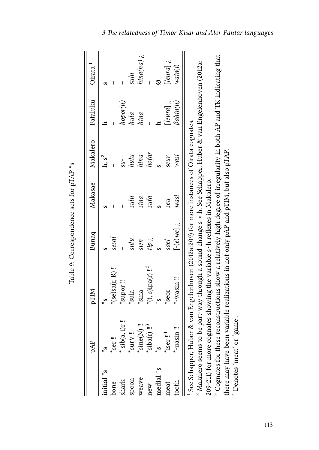|            | PAP                                                     | pTIM                                                                                                                            | Bunaq                 | Makasae | Makalero      | Fataluku                         | Oirata                  |
|------------|---------------------------------------------------------|---------------------------------------------------------------------------------------------------------------------------------|-----------------------|---------|---------------|----------------------------------|-------------------------|
| initial *s |                                                         |                                                                                                                                 |                       |         | $h \cdot s^2$ |                                  |                         |
| bone       | "set"                                                   | $(se)$ sa $(r, R)$ !                                                                                                            | sesal                 |         |               |                                  |                         |
| shark      | $*$ sib $(a, i)r$ !!                                    | "supor!                                                                                                                         |                       |         |               | hopor(u)                         |                         |
| spoon      | $\ddot{\rm u}$ Ams,                                     | $*_{\mathrm{sula}}$                                                                                                             | sulu                  | sulu    | hulu          | hula                             | zulu                    |
| weave      | *sine(N)!                                               | $\frac{1}{\sin a}$                                                                                                              | sien                  | sina    | hina          | hina                             | $hina(na)$ $\zeta$      |
| new        | *siba(r) $\mathbb{I}^3$                                 | $*(t, s)$ ipa $(r)$ !! <sup>3</sup>                                                                                             | i di                  | sufa    | hofar         |                                  |                         |
| medial *s  |                                                         |                                                                                                                                 |                       |         |               |                                  |                         |
| meat       | $i$ ser $\mathfrak{h}^4$                                | $*sec$                                                                                                                          | sael                  | seu     | seur          | $[lema]$ $\ddot{\hspace{0.1cm}}$ | $[l$ eura $]$ $\lambda$ |
| tooth      | $\stackrel{*}{\text{-}}$ uasin $\stackrel{\text{!}}{.}$ | *-wasin‼                                                                                                                        | $[-(e)$ we] $\lambda$ | wasi    | wasi          | $\beta$ ahin $(u)$               | wain(i)                 |
|            |                                                         | <sup>1</sup> See Schapper, Huber & van Engelenhoven (2012a:209) for more instances of Oirata cognates.                          |                       |         |               |                                  |                         |
|            |                                                         | $^2$ Makalero seems to be part-way through a sound change s > h. See Schapper, Huber & van Engelenhoven (2012a:                 |                       |         |               |                                  |                         |
|            |                                                         | 209-211) for more cognates showing the variable s~h reflexes in Makalero.                                                       |                       |         |               |                                  |                         |
|            |                                                         | <sup>3</sup> Cognates for these reconstructions show a relatively high degree of irregularity in both AP and TK indicating that |                       |         |               |                                  |                         |
|            |                                                         | there may have been variable realizations in not only pAP and pTIM, but also pTAP.                                              |                       |         |               |                                  |                         |
|            | <sup>4</sup> Denotes 'meat' or 'game'.                  |                                                                                                                                 |                       |         |               |                                  |                         |

<span id="page-14-0"></span>Table 9: Correspondence sets for pTAP \*s

3 The relatedness of Timor-Kisar and Alor-Pantar languages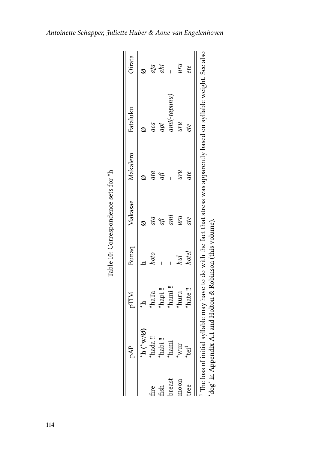|       | AP                                                        | pTIM        | Bunaq | Makasae | Makalero | Fataluku                                                                                                                | Oirata |
|-------|-----------------------------------------------------------|-------------|-------|---------|----------|-------------------------------------------------------------------------------------------------------------------------|--------|
|       | $(\mathcal{O}/\mathsf{m}_*)\,\mathsf{q}_*$                |             |       |         |          |                                                                                                                         |        |
| fire  | =:<br>ದ<br>had*                                           | *haTa       | hoto  |         | ata      | aca                                                                                                                     | aţa    |
| fish  | *habi                                                     | "hapi ‼     |       |         | аfі      | api                                                                                                                     | ahi    |
| reast | $*ham$                                                    | $^*$ hami ‼ |       | ami     |          | ami(-tapunu                                                                                                             |        |
| moon  | wur                                                       | huru        | hul   | nn      | $\mu u$  | uru                                                                                                                     | иги    |
| ree.  | $*_{\text{tel}}^1$                                        | *hate !!    | hotel | ate     | ate      | ete                                                                                                                     | ete    |
|       | dog' in Appendix A.1 and Holton & Robinson (this volume). |             |       |         |          | The loss of initial syllable may have to do with the fact that stress was apparently based on syllable weight. See also |        |

<span id="page-15-0"></span>Table 10: Correspondence sets for \*h

Table 10: Correspondence sets for "h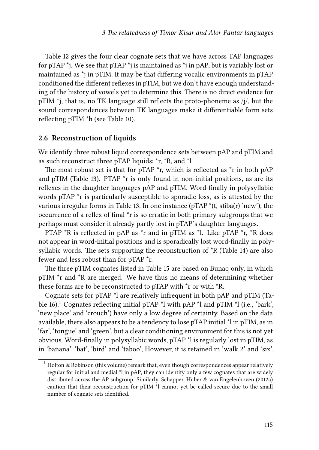Table [12](#page-18-0) gives the four clear cognate sets that we have across TAP languages for pTAP  $\check{\mathsf{I}}$ . We see that pTAP  $\check{\mathsf{I}}$  is maintained as  $\check{\mathsf{I}}$  in pAP, but is variably lost or maintained as \*j in pTIM. It may be that differing vocalic environments in pTAP conditioned the different reflexes in pTIM, but we don't have enough understanding of the history of vowels yet to determine this. There is no direct evidence for pTIM \*j, that is, no TK language still reflects the proto-phoneme as /j/, but the sound correspondences between TK languages make it differentiable form sets reflecting pTIM \*h (see Table [10\)](#page-15-0).

#### **2.6 Reconstruction of liquids**

We identify three robust liquid correspondence sets between pAP and pTIM and as such reconstruct three pTAP liquids: \*r, \*R, and \*l.

The most robust set is that for pTAP \*r, which is reflected as \*r in both pAP and pTIM (Table [13](#page-19-0)). PTAP \*r is only found in non-initial positions, as are its reflexes in the daughter languages pAP and pTIM. Word-finally in polysyllabic words pTAP \*r is particularly susceptible to sporadic loss, as is attested by the various irregular forms in Table [13](#page-19-0). In one instance ( $pTAP^*(t, s)$ iba(r) 'new'), the occurrence of a reflex of final \*r is so erratic in both primary subgroups that we perhaps must consider it already partly lost in pTAP's daughter languages.

PTAP \*R is reflected in pAP as \*r and in pTIM as \*l. Like pTAP \*r, \*R does not appear in word-initial positions and is sporadically lost word-finally in polysyllabic words. The sets supporting the reconstruction of \*R (Table [14](#page-20-0)) are also fewer and less robust than for pTAP \*r.

The three pTIM cognates listed in Table [15](#page-21-0) are based on Bunaq only, in which pTIM \*r and \*R are merged. We have thus no means of determining whether these forms are to be reconstructed to pTAP with \*r or with \*R.

Cognate sets for pTAP \*l are relatively infrequent in both pAP and pTIM (Ta-ble [16](#page-22-0)).<sup>1</sup> Cognates reflecting initial pTAP  $*$ l with pAP  $*$ l and pTIM  $*$ l (i.e., 'bark', 'new place' and 'crouch') have only a low degree of certainty. Based on the data available, there also appears to be a tendency to lose pTAP initial \*l in pTIM, as in 'far', 'tongue' and 'green', but a clear conditioning environment for this is not yet obvious. Word-finally in polysyllabic words, pTAP \*l is regularly lost in pTIM, as in 'banana', 'bat', 'bird' and 'taboo', However, it is retained in 'walk 2' and 'six',

[Holton & Robinson \(this volume\)](#page-53-2) remark that, even though correspondences appear relatively regular for initial and medial \*l in pAP, they can identify only a few cognates that are widely distributed across the AP subgroup. Similarly, [Schapper, Huber & van Engelenhoven \(2012a\)](#page-54-0) caution that their reconstruction for pTIM \*l cannot yet be called secure due to the small number of cognate sets identified.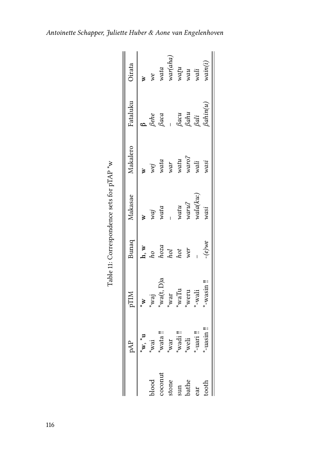|                         | $\frac{PAP}{P}$                                                                                                                                                                                                                             | pTIM                                        | Bunaq                              | Makasae                    | Makalero           | Fataluku                                     | Oirata                                                                           |
|-------------------------|---------------------------------------------------------------------------------------------------------------------------------------------------------------------------------------------------------------------------------------------|---------------------------------------------|------------------------------------|----------------------------|--------------------|----------------------------------------------|----------------------------------------------------------------------------------|
|                         | $\begin{array}{l} \ast\mathbf{w},\\ \ast\text{wait} \\ \ast\text{wait} \\ \ast\text{wait} \\ \ast\text{wait} \\ \ast\text{wait} \\ \ast\text{wait} \\ \ast\text{wait} \\ \ast\text{wait} \\ \ast\text{wait} \\ \ast\text{wait} \end{array}$ | $\triangleright$                            | $\frac{\mathbf{h}, \mathbf{w}}{h}$ |                            |                    |                                              |                                                                                  |
| blood                   |                                                                                                                                                                                                                                             |                                             |                                    | waj<br>wata                |                    |                                              |                                                                                  |
| $\operatorname{coconu}$ |                                                                                                                                                                                                                                             | *waj<br>*wa(t, D)a<br>*war<br>*weru<br>*weu | hoza<br>hol                        |                            | wej<br>wej<br>wata | $\beta$ ehe $\beta$ aca                      | $w$<br>$w$<br>$w$ ata<br>$w$ ata<br>$w$ atu<br>$w$ ati<br>$w$ ati<br>$w$ atin(i) |
| stone                   |                                                                                                                                                                                                                                             |                                             |                                    |                            | var                |                                              |                                                                                  |
| $\sin$                  |                                                                                                                                                                                                                                             |                                             | hot                                |                            | watu               |                                              |                                                                                  |
| bathe                   |                                                                                                                                                                                                                                             |                                             | wer                                |                            | warol              | $\underset{\beta\mathit{ali}}{\textit{a}cu}$ |                                                                                  |
| ear                     |                                                                                                                                                                                                                                             |                                             |                                    | watu<br>waru?<br>wala(ku:) | wali<br>wasi       |                                              |                                                                                  |
| tooth                   | $\frac{1}{2}$ masin                                                                                                                                                                                                                         | -wasin!                                     | $-(e)we$                           | wasi                       |                    | 3ahin(u)                                     |                                                                                  |
|                         |                                                                                                                                                                                                                                             |                                             |                                    |                            |                    |                                              |                                                                                  |

<span id="page-17-0"></span>Table 11: Correspondence sets for pTAP  $^*\mathrm{w}$ Table 11: Correspondence sets for pTAP \*w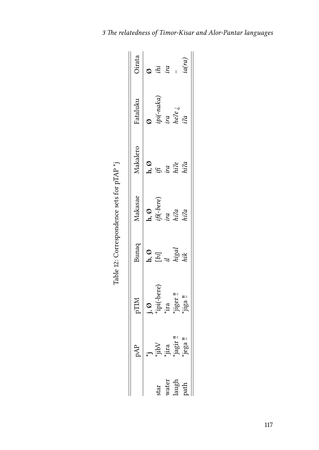<span id="page-18-0"></span>

| $*$ $\epsilon$<br>؟<br>م<br>ł |
|-------------------------------|
| i<br>i                        |
| chonnana<br>An<br>ı<br>(      |
| $\frac{1}{2}$                 |

|                                                                                                                                                                                                                                                                                     | pTIM                                                                                                                                                  | Bunaq                                                                                                                                                                                                                                                                                                                                                                                                                      | Makasae                                                                                     | Makalero       | Fataluku                    | Oirata     |
|-------------------------------------------------------------------------------------------------------------------------------------------------------------------------------------------------------------------------------------------------------------------------------------|-------------------------------------------------------------------------------------------------------------------------------------------------------|----------------------------------------------------------------------------------------------------------------------------------------------------------------------------------------------------------------------------------------------------------------------------------------------------------------------------------------------------------------------------------------------------------------------------|---------------------------------------------------------------------------------------------|----------------|-----------------------------|------------|
|                                                                                                                                                                                                                                                                                     |                                                                                                                                                       | $h, \emptyset$                                                                                                                                                                                                                                                                                                                                                                                                             | $h, \emptyset$                                                                              | $h, \emptyset$ |                             | ◎          |
|                                                                                                                                                                                                                                                                                     | $\begin{array}{l} \text{j, }\text{O} \\ \text{``pi/-bere)} \\ \text{``in} \\ \text{``jiger I!} \\ \text{``jiger I!} \\ \text{``jiger I!} \end{array}$ | $[bi]% \centering \includegraphics[width=0.47\textwidth]{figs/fig_10.pdf} \caption{The 3D (black) model for a different region of the parameter $\{0,1,\ldots,N\}$ with $N=1$ and $N=100$ and $N=100$ and $N=100$ and $N=100$ and $N=100$ and $N=100$ and $N=100$ and $N=100$ and $N=100$ and $N=100$ and $N=100$ and $N=100$ and $N=100$ and $N=100$ and $N=100$ and $N=100$ and $N=100$ and $N=100$ and $N=100$ and $N=$ | $\label{eq:2} \begin{array}{l} if\text{\bf (1} - \textit{bere})\\ \textit{ira} \end{array}$ | ifi $a$        |                             | ihi<br>ira |
|                                                                                                                                                                                                                                                                                     |                                                                                                                                                       |                                                                                                                                                                                                                                                                                                                                                                                                                            |                                                                                             |                |                             |            |
|                                                                                                                                                                                                                                                                                     |                                                                                                                                                       | higal                                                                                                                                                                                                                                                                                                                                                                                                                      | hila                                                                                        | hile           | ipi(-naka)<br>ira<br>he?e ¿ |            |
| $\begin{aligned} &\overset{\mathbf{ii}}{\text{.} } \text{is}\, \text{as}\, \text{.} \\ &\overset{\mathbf{iii}}{\text{.} } \text{is}\, \text{.} \\ &\overset{\mathbf{iii}}{\text{.} } \text{is}\, \text{.} \\ &\overset{\mathbf{iii}}{\text{.} } \text{is}\, \text{.} \end{aligned}$ |                                                                                                                                                       | hik                                                                                                                                                                                                                                                                                                                                                                                                                        | hila                                                                                        | hila           | ila                         | ia(ra)     |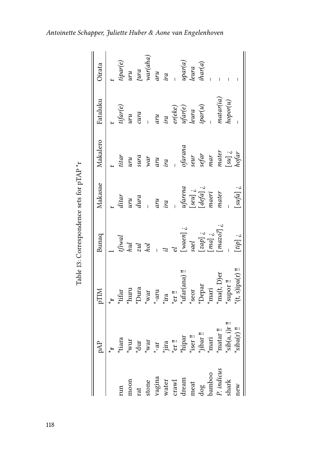| $\begin{array}{l} \displaystyle \lim_{n\to\infty} \displaystyle \lim_{n\to\infty} \displaystyle \lim_{n\to\infty} \displaystyle \lim_{n\to\infty} \displaystyle \lim_{n\to\infty} \displaystyle \lim_{n\to\infty} \displaystyle \lim_{n\to\infty} \displaystyle \lim_{n\to\infty} \displaystyle \lim_{n\to\infty} \displaystyle \lim_{n\to\infty} \displaystyle \lim_{n\to\infty} \displaystyle \lim_{n\to\infty} \displaystyle \lim_{n\to\infty} \displaystyle \lim_{n\to\infty} \displaystyle \lim_{n\to\infty} \displaystyle \lim_{n\to\infty} \displaystyle \lim$ | $\begin{array}{l} t\\i\\nu\end{array}$<br>zul<br>hol                                                                                                                | $\frac{ditar}{dura}$ |                                                                                                                                                                                                           |                                                                                                                                                                                                              | Oirata                                                       |
|-----------------------------------------------------------------------------------------------------------------------------------------------------------------------------------------------------------------------------------------------------------------------------------------------------------------------------------------------------------------------------------------------------------------------------------------------------------------------------------------------------------------------------------------------------------------------|---------------------------------------------------------------------------------------------------------------------------------------------------------------------|----------------------|-----------------------------------------------------------------------------------------------------------------------------------------------------------------------------------------------------------|--------------------------------------------------------------------------------------------------------------------------------------------------------------------------------------------------------------|--------------------------------------------------------------|
|                                                                                                                                                                                                                                                                                                                                                                                                                                                                                                                                                                       |                                                                                                                                                                     |                      |                                                                                                                                                                                                           |                                                                                                                                                                                                              |                                                              |
|                                                                                                                                                                                                                                                                                                                                                                                                                                                                                                                                                                       |                                                                                                                                                                     |                      |                                                                                                                                                                                                           | tifar(e)                                                                                                                                                                                                     | $\begin{array}{l} tipar(e) \\ uru \\ tura \end{array}$       |
|                                                                                                                                                                                                                                                                                                                                                                                                                                                                                                                                                                       |                                                                                                                                                                     |                      |                                                                                                                                                                                                           |                                                                                                                                                                                                              |                                                              |
|                                                                                                                                                                                                                                                                                                                                                                                                                                                                                                                                                                       |                                                                                                                                                                     |                      | titar<br>uru<br>sura<br>war                                                                                                                                                                               |                                                                                                                                                                                                              |                                                              |
|                                                                                                                                                                                                                                                                                                                                                                                                                                                                                                                                                                       |                                                                                                                                                                     |                      |                                                                                                                                                                                                           |                                                                                                                                                                                                              | $\mathcal{W}$ ar $(aha)$                                     |
|                                                                                                                                                                                                                                                                                                                                                                                                                                                                                                                                                                       |                                                                                                                                                                     |                      |                                                                                                                                                                                                           |                                                                                                                                                                                                              | aru                                                          |
|                                                                                                                                                                                                                                                                                                                                                                                                                                                                                                                                                                       |                                                                                                                                                                     | $rac{v}{na}$         | $\frac{1}{n}$                                                                                                                                                                                             |                                                                                                                                                                                                              | ira                                                          |
|                                                                                                                                                                                                                                                                                                                                                                                                                                                                                                                                                                       |                                                                                                                                                                     |                      |                                                                                                                                                                                                           |                                                                                                                                                                                                              |                                                              |
|                                                                                                                                                                                                                                                                                                                                                                                                                                                                                                                                                                       |                                                                                                                                                                     |                      |                                                                                                                                                                                                           | $\begin{array}{l} uru\\ -\\ -\\ \hline\\ \text{in} \\ \text{if } a\\ \text{if } a\\ \text{if } a \in (e_e)\\ \text{if } a \in (e_e)\\ \text{if } a \in (e_e)\\ \text{if } a \in (f_e)\\ -\\ -\\ \end{array}$ | $\begin{array}{l} u par(a) \\ leura \\ i har(a) \end{array}$ |
|                                                                                                                                                                                                                                                                                                                                                                                                                                                                                                                                                                       |                                                                                                                                                                     |                      |                                                                                                                                                                                                           |                                                                                                                                                                                                              |                                                              |
|                                                                                                                                                                                                                                                                                                                                                                                                                                                                                                                                                                       |                                                                                                                                                                     |                      |                                                                                                                                                                                                           |                                                                                                                                                                                                              |                                                              |
|                                                                                                                                                                                                                                                                                                                                                                                                                                                                                                                                                                       |                                                                                                                                                                     |                      |                                                                                                                                                                                                           |                                                                                                                                                                                                              |                                                              |
|                                                                                                                                                                                                                                                                                                                                                                                                                                                                                                                                                                       |                                                                                                                                                                     |                      |                                                                                                                                                                                                           |                                                                                                                                                                                                              |                                                              |
|                                                                                                                                                                                                                                                                                                                                                                                                                                                                                                                                                                       |                                                                                                                                                                     |                      |                                                                                                                                                                                                           |                                                                                                                                                                                                              |                                                              |
|                                                                                                                                                                                                                                                                                                                                                                                                                                                                                                                                                                       |                                                                                                                                                                     |                      |                                                                                                                                                                                                           |                                                                                                                                                                                                              |                                                              |
| $(t, s)$ ipa $(r)$ !<br>$\underset{*}{^{*}\text{map}}\text{r.t.}$                                                                                                                                                                                                                                                                                                                                                                                                                                                                                                     | $\begin{bmatrix} \textit{wan} \\ \textit{scale} \\ \textit{[zap]} \\ \textit{[ma]} \\ \textit{[ma207]} \\ \textit{[max07]} \end{bmatrix}$<br>$[tip] \; \dot{\zeta}$ |                      | $\begin{array}{l} \textit{ufarena} \\ \textit{[seu]} \\ \textit{[defa]} \\ \textit{maeri} \\ \textit{maeri} \\ \textit{mater} \\ \textit{mater} \end{array}$<br>$[sufa] \underset{-}{\underbrace{\iota}}$ | $\begin{array}{l} \textit{ofarana} \\ \textit{seur} \\ \textit{sefar} \\ \textit{max} \\ \textit{mater} \\ \textit{[su]}\ \textit{;} \\ \textit{[su]}\ \textit{;} \\ \textit{hofar} \end{array}$             | matar(ia)<br>hopor(u)                                        |

<span id="page-19-0"></span>Table 13: Correspondence sets for pTAP  $^*\mathrm{r}$ Table 13: Correspondence sets for pTAP \*r

*Antoinette Schapper, Juliette Huber & Aone van Engelenhoven*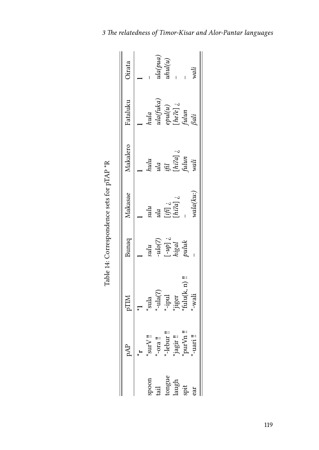|                                                                                                                                                                                                                                                                                                                                                                     | pTIM                                                                                                                                                                        | Bunaq                                                                                                                | Makasae                    | Makalero                                 | Fataluku                                           | Oirata              |
|---------------------------------------------------------------------------------------------------------------------------------------------------------------------------------------------------------------------------------------------------------------------------------------------------------------------------------------------------------------------|-----------------------------------------------------------------------------------------------------------------------------------------------------------------------------|----------------------------------------------------------------------------------------------------------------------|----------------------------|------------------------------------------|----------------------------------------------------|---------------------|
|                                                                                                                                                                                                                                                                                                                                                                     |                                                                                                                                                                             |                                                                                                                      |                            |                                          |                                                    |                     |
|                                                                                                                                                                                                                                                                                                                                                                     |                                                                                                                                                                             |                                                                                                                      | $i\mu$                     | hulu                                     | hula                                               |                     |
|                                                                                                                                                                                                                                                                                                                                                                     |                                                                                                                                                                             |                                                                                                                      |                            |                                          |                                                    |                     |
| $\begin{tabular}{ll} \bf 4.7 \\ \bf 5.8 \\ \bf 6.9 \\ \bf 7.1 \\ \bf 8.1 \\ \bf 1.1 \\ \bf 1.2 \\ \bf 1.3 \\ \bf 1.4 \\ \bf 1.5 \\ \bf 1.5 \\ \bf 1.6 \\ \bf 1.7 \\ \bf 1.8 \\ \bf 1.7 \\ \bf 1.8 \\ \bf 1.7 \\ \bf 1.8 \\ \bf 1.7 \\ \bf 1.8 \\ \bf 1.7 \\ \bf 1.7 \\ \bf 1.7 \\ \bf 1.7 \\ \bf 1.7 \\ \bf 1.7 \\ \bf 1.7 \\ \bf 1.7 \\ \bf 1.7 \\ \bf 1.7 \\ \bf$ | $\begin{array}{l} \text{``sula} \\ \text{``sula} \\ \text{``-ind}(7) \\ \text{``-ipul} \\ \text{``ifger} \\ \text{``full}(k,n) \text{ !} \\ \text{``full}(k,n) \end{array}$ | $\begin{array}{l} {\it sulu} \\ -u b(\it{l}) \\ [-u p] \; \dot{\wr} \\ h \dot{\lg} a l \\ h \dot{\lg} d \end{array}$ | ula<br>[ifi] ¿<br>[hi?a] ¿ | ula<br>ifil<br>[hi?a] ¿<br>fulun<br>wali | ula(fuka)<br>epul(u)<br>[he?e] ¿<br>fulun<br>fulun | ıla(pua)<br>ıhul(u) |
|                                                                                                                                                                                                                                                                                                                                                                     |                                                                                                                                                                             |                                                                                                                      |                            |                                          |                                                    |                     |
|                                                                                                                                                                                                                                                                                                                                                                     |                                                                                                                                                                             |                                                                                                                      |                            |                                          |                                                    |                     |
|                                                                                                                                                                                                                                                                                                                                                                     |                                                                                                                                                                             |                                                                                                                      | $walaku$ :                 |                                          |                                                    | wali                |

Table 14: Correspondence sets for pTAP \*R Table 14: Correspondence sets for pTAP \*R

*3 The relatedness of Timor-Kisar and Alor-Pantar languages*

<span id="page-20-0"></span> $ear$  $\mathbf{\mathsf{I}}$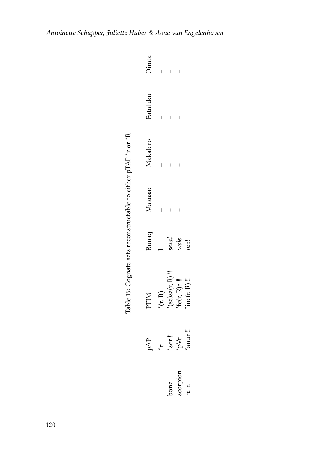|                  | ĄP                              | PTIM                                                          | Bunaq                                                                        | Makasae | Makalero                 | Fataluku Oirata          |   |
|------------------|---------------------------------|---------------------------------------------------------------|------------------------------------------------------------------------------|---------|--------------------------|--------------------------|---|
|                  | $\blacktriangleright$<br>$\ast$ |                                                               |                                                                              | ı       | I                        | I                        | I |
| bone             | ser!                            |                                                               |                                                                              | ı       | $\overline{\phantom{a}}$ | $\overline{\phantom{a}}$ | I |
| scorpion<br>rain | pVr                             | *(r, R)<br>*(se)sa(r, R) !!<br>*fe(r, R)e !!<br>*ine(r, R) !! | $\begin{array}{l} \mathrm{scal}\\ \mathrm{wele}\\ \mathrm{inel} \end{array}$ | ı       | $\overline{\phantom{a}}$ | $\overline{\phantom{0}}$ | I |
|                  | anur<br>$\ast$                  |                                                               |                                                                              |         | $\overline{\phantom{a}}$ | $\overline{\phantom{a}}$ | I |

<span id="page-21-0"></span>Table 15: Cognate sets reconstructable to either pTAP \*r or \*R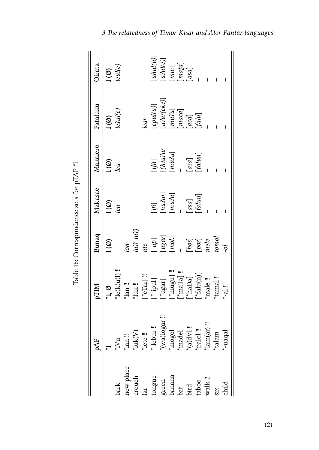|                                                                                                                   | $\ensuremath{\mathrm{PAP}}$                                                                                                                                                                                                                                 | pTIM                                                                                                                                                                                                                                                                                                                         | Bunaq                                                                                                                                         | Makasae                                                                                                                                                                                                                                                                                                                    | Makalero                                                                                                                                                                                                               | Fataluku                                               | Oirata                                                                                                                                                                                                                                         |
|-------------------------------------------------------------------------------------------------------------------|-------------------------------------------------------------------------------------------------------------------------------------------------------------------------------------------------------------------------------------------------------------|------------------------------------------------------------------------------------------------------------------------------------------------------------------------------------------------------------------------------------------------------------------------------------------------------------------------------|-----------------------------------------------------------------------------------------------------------------------------------------------|----------------------------------------------------------------------------------------------------------------------------------------------------------------------------------------------------------------------------------------------------------------------------------------------------------------------------|------------------------------------------------------------------------------------------------------------------------------------------------------------------------------------------------------------------------|--------------------------------------------------------|------------------------------------------------------------------------------------------------------------------------------------------------------------------------------------------------------------------------------------------------|
|                                                                                                                   |                                                                                                                                                                                                                                                             | $\omega$ (i,                                                                                                                                                                                                                                                                                                                 | $(\omega)$                                                                                                                                    | $\widetilde{\omega}$                                                                                                                                                                                                                                                                                                       | $\circledcirc$                                                                                                                                                                                                         |                                                        | $\frac{1}{\ell e u l(e)}$                                                                                                                                                                                                                      |
|                                                                                                                   | $\cdot^{\mathbf{1}}$<br>Vu                                                                                                                                                                                                                                  |                                                                                                                                                                                                                                                                                                                              |                                                                                                                                               | leu                                                                                                                                                                                                                                                                                                                        | leu                                                                                                                                                                                                                    | $\frac{1}{\ell}$ (0)<br>$\frac{1}{\ell}$               |                                                                                                                                                                                                                                                |
|                                                                                                                   |                                                                                                                                                                                                                                                             |                                                                                                                                                                                                                                                                                                                              | $\iota$                                                                                                                                       |                                                                                                                                                                                                                                                                                                                            |                                                                                                                                                                                                                        |                                                        |                                                                                                                                                                                                                                                |
|                                                                                                                   |                                                                                                                                                                                                                                                             |                                                                                                                                                                                                                                                                                                                              |                                                                                                                                               |                                                                                                                                                                                                                                                                                                                            |                                                                                                                                                                                                                        |                                                        |                                                                                                                                                                                                                                                |
|                                                                                                                   |                                                                                                                                                                                                                                                             |                                                                                                                                                                                                                                                                                                                              |                                                                                                                                               |                                                                                                                                                                                                                                                                                                                            |                                                                                                                                                                                                                        | icar                                                   |                                                                                                                                                                                                                                                |
| bark<br>new place<br>revouch<br>tar tongue<br>green<br>green<br>banana<br>band<br>band<br>taboo<br>taboo<br>taboo | $\begin{array}{l} \text{``lan\!''} \\ \text{``luk(V)} \\ \text{``lete\!''} \\ \text{``lebur\!''} \\ \text{``(wal)ogar\!''} \\ \text{``magol} \\ \text{``magol} \\ \text{``model} \\ \text{``radel} \\ \text{``padol\!''} \\ \text{``padol\!''} \end{array}$ | $i_{\rm cl}(k)u(l)$ !<br>$i_{\rm alt}$ !!<br>$i_{\rm th}$ !!<br>$i_{\rm cl}$ $i_{\rm cl}$ !!<br>$i_{\rm cl}$ $i_{\rm cl}$ !!<br>$i_{\rm cl}$ $i_{\rm cl}$ !!<br>$i_{\rm cl}$ $i_{\rm cl}$ !!<br>$i_{\rm cl}$ $i_{\rm cl}$ !!<br>$i_{\rm cl}$ $i_{\rm cl}$ !!<br>$i_{\rm cl}$ $i_{\rm cl}$ !!<br>$i_{\rm cl}$ $i_{\rm cl}$ !! | $\left. \begin{array}{l} l u l' - l u l' \\ate \\ \left[ - u p \right] \\ \left[ u g a r \right] \\ \left[ m o k \right] \end{array} \right $ |                                                                                                                                                                                                                                                                                                                            |                                                                                                                                                                                                                        |                                                        | $[uhul(u)]% \centering \includegraphics[width=1\textwidth]{figs/fig_4a} \caption{The number of samples of the data set. The number of data set is shown in the left panel. The number of data set is shown in the right panel.} \label{fig:3}$ |
|                                                                                                                   |                                                                                                                                                                                                                                                             |                                                                                                                                                                                                                                                                                                                              |                                                                                                                                               |                                                                                                                                                                                                                                                                                                                            |                                                                                                                                                                                                                        |                                                        |                                                                                                                                                                                                                                                |
|                                                                                                                   |                                                                                                                                                                                                                                                             |                                                                                                                                                                                                                                                                                                                              |                                                                                                                                               |                                                                                                                                                                                                                                                                                                                            |                                                                                                                                                                                                                        |                                                        | $\begin{bmatrix} u\mathcal{I}ul(e)]\mathcal{I}mul\\ [mu^{\prime}]\mathcal{I}ud[1] \end{bmatrix}$                                                                                                                                               |
|                                                                                                                   |                                                                                                                                                                                                                                                             |                                                                                                                                                                                                                                                                                                                              |                                                                                                                                               |                                                                                                                                                                                                                                                                                                                            |                                                                                                                                                                                                                        |                                                        |                                                                                                                                                                                                                                                |
|                                                                                                                   |                                                                                                                                                                                                                                                             |                                                                                                                                                                                                                                                                                                                              |                                                                                                                                               |                                                                                                                                                                                                                                                                                                                            |                                                                                                                                                                                                                        |                                                        |                                                                                                                                                                                                                                                |
|                                                                                                                   |                                                                                                                                                                                                                                                             |                                                                                                                                                                                                                                                                                                                              | $[hos] \label{eq:2} \begin{bmatrix} hos \\ por \\ mele \\ time \\ to \\ no \\ \end{bmatrix}$                                                  | $\begin{array}{l} \left[ \begin{matrix} i\mathit{f} \end{matrix} \right] \\ \left[ \begin{matrix} hu\mathcal{I}u \end{matrix} \right] \\ \left[ \begin{matrix} mu\mathcal{I}u \end{matrix} \right] \\ \left[ \begin{matrix} as\mathit{a} \end{matrix} \right] \\ \left[ \begin{matrix} f \end{matrix} \right] \end{array}$ | $\begin{bmatrix} ij\Omega\end{bmatrix}\\ \begin{bmatrix}(h)u\Omega u\end{bmatrix}\\ \begin{bmatrix}mu\Omega\end{bmatrix}\\ \begin{bmatrix}a\Omega\end{bmatrix}\\ \begin{bmatrix}da\Omega\end{bmatrix}\\ \end{bmatrix}$ | [epul(u)]<br>[uʔur(eke)]<br>[muʔu]<br>[maca]<br>[falu] |                                                                                                                                                                                                                                                |
|                                                                                                                   |                                                                                                                                                                                                                                                             | $^*$ male !!                                                                                                                                                                                                                                                                                                                 |                                                                                                                                               |                                                                                                                                                                                                                                                                                                                            |                                                                                                                                                                                                                        |                                                        |                                                                                                                                                                                                                                                |
|                                                                                                                   | $^*\!$ talam                                                                                                                                                                                                                                                | $\mathop{!}\limits^{\ast}\mathop{\mathrm{tama}}\nolimits\mathop{!}\limits^{\mathop{\mathrm{!}}\limits^{\ast}\mathop{\mathrm{!}}\nolimits}$                                                                                                                                                                                   |                                                                                                                                               |                                                                                                                                                                                                                                                                                                                            |                                                                                                                                                                                                                        |                                                        |                                                                                                                                                                                                                                                |
|                                                                                                                   | -uaqal                                                                                                                                                                                                                                                      | $\prod_{i=1}^{n}$                                                                                                                                                                                                                                                                                                            |                                                                                                                                               |                                                                                                                                                                                                                                                                                                                            |                                                                                                                                                                                                                        |                                                        |                                                                                                                                                                                                                                                |
|                                                                                                                   |                                                                                                                                                                                                                                                             |                                                                                                                                                                                                                                                                                                                              |                                                                                                                                               |                                                                                                                                                                                                                                                                                                                            |                                                                                                                                                                                                                        |                                                        |                                                                                                                                                                                                                                                |

<span id="page-22-0"></span>Table 16: Correspondence sets for pTAP \*1 Table 16: Correspondence sets for pTAP \*l *3 The relatedness of Timor-Kisar and Alor-Pantar languages*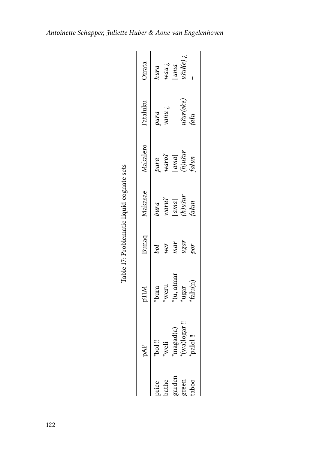| Oirata<br>Fataluku<br>Makalero<br>Makasae<br>Bunaq<br>pTIM | hura<br>pana<br>pol<br>*bura | pura<br>vahu ¿<br>wer | $\begin{bmatrix} wau \ \bar{c} \ \bar{c} \end{bmatrix}$<br>pura<br>waro?<br>[ama]<br>(h)u?ur<br>falun<br>$\begin{bmatrix} a m a \\ h) u^2 u^2 \end{bmatrix}$<br>(h)u $\begin{bmatrix} a m \\ h \end{bmatrix}$<br>mar<br>*weru<br>*(u, a)mar<br>*ugar<br>*falu(n) | u?ur(eke)<br>falu | $\frac{ugar}{por}$                                                                                |
|------------------------------------------------------------|------------------------------|-----------------------|------------------------------------------------------------------------------------------------------------------------------------------------------------------------------------------------------------------------------------------------------------------|-------------------|---------------------------------------------------------------------------------------------------|
|                                                            |                              |                       |                                                                                                                                                                                                                                                                  |                   |                                                                                                   |
|                                                            |                              |                       |                                                                                                                                                                                                                                                                  |                   | pAP<br>price *bol !!<br>bathe *weli<br>garden *magad(a)<br>green *(wa)logar !!<br>taboo *palol !! |
|                                                            |                              |                       |                                                                                                                                                                                                                                                                  |                   |                                                                                                   |

<span id="page-23-0"></span>Table 17: Problematic liquid cognate sets Table 17: Problematic liquid cognate sets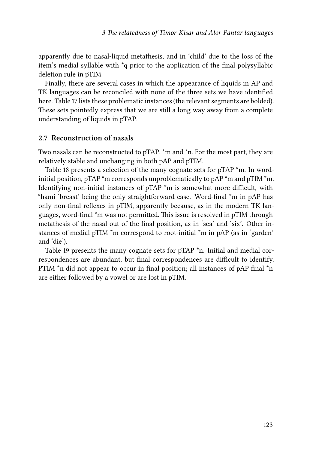apparently due to nasal-liquid metathesis, and in 'child' due to the loss of the item's medial syllable with \*q prior to the application of the final polysyllabic deletion rule in pTIM.

Finally, there are several cases in which the appearance of liquids in AP and TK languages can be reconciled with none of the three sets we have identified here. Table [17](#page-23-0) lists these problematic instances (the relevant segments are bolded). These sets pointedly express that we are still a long way away from a complete understanding of liquids in pTAP.

#### **2.7 Reconstruction of nasals**

Two nasals can be reconstructed to pTAP, \*m and \*n. For the most part, they are relatively stable and unchanging in both pAP and pTIM.

Table [18](#page-25-0) presents a selection of the many cognate sets for pTAP \*m. In wordinitial position,  $pTAP$  \*m corresponds unproblematically to  $pAP$  \*m and  $pTIM$  \*m. Identifying non-initial instances of  $pTAP$ <sup>\*</sup>m is somewhat more difficult, with \*hami 'breast' being the only straightforward case. Word-final \*m in pAP has only non-final reflexes in pTIM, apparently because, as in the modern TK languages, word-final \*m was not permitted. This issue is resolved in pTIM through metathesis of the nasal out of the final position, as in 'sea' and 'six'. Other instances of medial pTIM \*m correspond to root-initial \*m in pAP (as in 'garden' and 'die').

Table [19](#page-26-0) presents the many cognate sets for pTAP \*n. Initial and medial correspondences are abundant, but final correspondences are difficult to identify. PTIM \*n did not appear to occur in final position; all instances of pAP final \*n are either followed by a vowel or are lost in pTIM.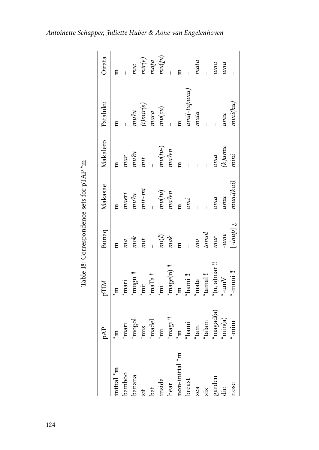|                |                                                                                                                                                                            |                                                                                                                               |                    | Table 18: Correspondence sets for pTAP *m |                                       |                         |                       |
|----------------|----------------------------------------------------------------------------------------------------------------------------------------------------------------------------|-------------------------------------------------------------------------------------------------------------------------------|--------------------|-------------------------------------------|---------------------------------------|-------------------------|-----------------------|
|                | <b>AP</b>                                                                                                                                                                  | pTIM                                                                                                                          | Bunaq              | Makasae                                   | Makalero                              | Fataluku                | Oirata                |
| initial *m     |                                                                                                                                                                            |                                                                                                                               |                    |                                           |                                       |                         |                       |
| bamboo         |                                                                                                                                                                            | *mari                                                                                                                         | ma                 | $maeri$                                   | mar                                   |                         |                       |
| banana         | $\begin{array}{l} \text{\tt{*}} \text{\tt{main}}\\ \text{\tt{*}} \text{\tt{msgol}}\\ \text{\tt{*mis}} \end{array}$                                                         | $\displaystyle\lim_{n\to\infty}\displaystyle\lim_{n\to\infty}$ $\displaystyle\lim_{n\to\infty}\displaystyle\lim_{n\to\infty}$ | $m$ ok             | mu2u                                      | $mu$ $\Omega u$                       | $mu$ <sup>2</sup> $\mu$ | mu                    |
| $\ddot{a}$     |                                                                                                                                                                            |                                                                                                                               | mi                 | mit~mi                                    | mi                                    | $(i)$ mir $(e)$         | mir(e)                |
| bat            | $\ast_{\text{made}}$                                                                                                                                                       |                                                                                                                               |                    |                                           |                                       | maca                    |                       |
| inside         | $\begin{array}{c} \ast_{\mathbf{m}}\ \ast_{\mathbf{mag}\, !}\ \mathsf{!}\ \ast_{\mathbf{m}}\ \ast_{\mathbf{m}}\ \ast_{\mathbf{ham}\ \ast_{\mathbf{ham}\ \ast}}\end{array}$ |                                                                                                                               | mi(l)              | $mu(tu)$<br>ma $2en$                      | $\frac{mu(tu\text{-})}{ma\text{2}en}$ | mu(cu)                  | $\frac{mata}{mu(tu)}$ |
| hear           |                                                                                                                                                                            | $\displaystyle{{\textstyle \max_{*}}}_{\mathbf{m}}^{\text{range}(n)}$ !!                                                      | mak                |                                           |                                       |                         |                       |
| non-initial *m |                                                                                                                                                                            |                                                                                                                               |                    |                                           |                                       |                         |                       |
| breast         |                                                                                                                                                                            | $^*$ hami ‼ $^*$ mata                                                                                                         |                    | ami                                       |                                       | ami(tapunu)             |                       |
| sea            | $^\ast\tan$<br>$^\ast\tan$                                                                                                                                                 |                                                                                                                               | ou                 |                                           |                                       | mata                    | mata                  |
| six            |                                                                                                                                                                            | $\!!$ Iemat,                                                                                                                  | tonol              |                                           |                                       |                         |                       |
| garden         | 'magad(a)                                                                                                                                                                  | $^*(\mathfrak{u},\mathfrak{a})$ mar ‼                                                                                         | mar                | ama                                       | ama                                   |                         | uma                   |
| die            | 'min(a)                                                                                                                                                                    | $^*$ um<br>V                                                                                                                  | $-$ ume            | umu                                       | $(k)$ umu                             | umu                     | umu                   |
| nose           | $\text{min}^*$                                                                                                                                                             | $\frac{1}{2}$ muni                                                                                                            | $[-im\nu]$ $\zeta$ | muni(kai)                                 | min                                   | min(ku)                 |                       |
|                |                                                                                                                                                                            |                                                                                                                               |                    |                                           |                                       |                         |                       |

*Antoinette Schapper, Juliette Huber & Aone van Engelenhoven*

<span id="page-25-0"></span>Table 18: Correspondence sets for pTAP  $^\star \mathrm{m}$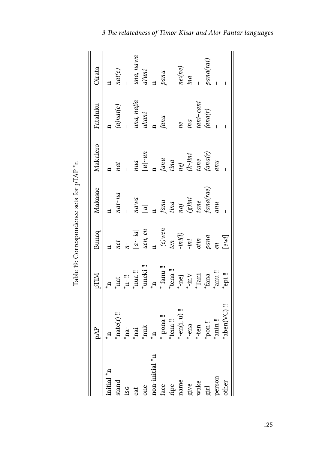<span id="page-26-0"></span>

| r<br>F<br>くういき<br>ł       |
|---------------------------|
| į                         |
| - コナウン りりえりすうえき<br>ł<br>l |
|                           |

|                                                                                                                                                               | AP                                                                                                                                                                                                                                                | pTIM                             | Bunaq                      | Makasae                                                                                                   | Makalero                                                                                                                     | Fatalukv                           | Oirata             |
|---------------------------------------------------------------------------------------------------------------------------------------------------------------|---------------------------------------------------------------------------------------------------------------------------------------------------------------------------------------------------------------------------------------------------|----------------------------------|----------------------------|-----------------------------------------------------------------------------------------------------------|------------------------------------------------------------------------------------------------------------------------------|------------------------------------|--------------------|
| $int_{a}^{a}$ haitial                                                                                                                                         |                                                                                                                                                                                                                                                   |                                  |                            |                                                                                                           |                                                                                                                              |                                    |                    |
| stand                                                                                                                                                         | $*_{\text{nate}(r)}$                                                                                                                                                                                                                              | $_{\rm nat}$                     | net                        | $nat$ na                                                                                                  | nat                                                                                                                          | (a) nat(e)                         | nat(e)             |
| 1sG                                                                                                                                                           | $\boldsymbol{\cdot}_{\text{na}^-}$                                                                                                                                                                                                                | $\lim_{n\rightarrow\infty}u_{*}$ | $\frac{1}{2}$              |                                                                                                           |                                                                                                                              |                                    |                    |
| eat                                                                                                                                                           |                                                                                                                                                                                                                                                   |                                  |                            |                                                                                                           |                                                                                                                              | una, na $\beta$ a                  |                    |
| one                                                                                                                                                           | $\begin{array}{c}\n\stackrel{\cdot}{\phantom{\cdot}}\n\stackrel{\cdot}{\phantom{\cdot}}\n\stackrel{\cdot}{\phantom{\cdot}}\n\stackrel{\cdot}{\phantom{\cdot}}\n\stackrel{\cdot}{\phantom{\cdot}}\n\stackrel{\cdot}{\phantom{\cdot}}\n\end{array}$ | *uneki!                          | $[a$ $-i$ $a]$<br>uen, en  | $\begin{bmatrix} u \end{bmatrix}$                                                                         |                                                                                                                              | ukani                              | una, nawa<br>a?uni |
| ${\tt n}^*$ Laitian $\alpha$                                                                                                                                  |                                                                                                                                                                                                                                                   | $\mathbf{a}$                     |                            |                                                                                                           |                                                                                                                              |                                    |                    |
|                                                                                                                                                               | $\begin{array}{l} \text{``pona} \\ \text{``tena} \\ \end{array}$                                                                                                                                                                                  | $^*$ -fanu !!                    | $^{-(e)wen}$ ten           | $\begin{array}{l} {\it fanu} \\ {\it tina} \\ {\it maj} \\ {\it (g)} {\it ini} \\ {\it tane} \end{array}$ | $\begin{array}{l} nua\\ \left[ u\right] \sim un\\ \mathbf{n}\\ fann\\ tina\\ nej\\ \left( k\text{-}jini \right) \end{array}$ | fanu                               | $_{1}^{p}$         |
|                                                                                                                                                               |                                                                                                                                                                                                                                                   | "tena!                           |                            |                                                                                                           |                                                                                                                              |                                    |                    |
|                                                                                                                                                               | $^*$ -en(i, u) $^{\mathsf{I}^*}$ -ena                                                                                                                                                                                                             | $\mathbf{m}$ .                   | $\frac{-ini(l)}{-ini}$     |                                                                                                           |                                                                                                                              | ne                                 | ne:(ne)            |
|                                                                                                                                                               |                                                                                                                                                                                                                                                   | $\rm{Var}$ ,                     |                            |                                                                                                           |                                                                                                                              | ina                                | in a               |
|                                                                                                                                                               | $-ten$                                                                                                                                                                                                                                            | $\boldsymbol{r}_{\text{Tani}}$   | otin                       |                                                                                                           |                                                                                                                              |                                    |                    |
| face ripe $\frac{1}{\text{time}}$ and $\frac{1}{\text{time}}$ $\frac{1}{\text{time}}$ $\frac{1}{\text{time}}$ $\frac{1}{\text{time}}$ $\frac{1}{\text{time}}$ | $\ddot{\text{u}}$ uod,                                                                                                                                                                                                                            | $\ensuremath{\text{tana}}$       | $_{en}^{\rho\alpha\alpha}$ | $\ensuremath{\mathit{f}}\xspace$                                                                          | fana(r)                                                                                                                      | $\frac{tani\text{-}cani}{fana(r)}$ | pana(rai           |
|                                                                                                                                                               | $\displaystyle\mathop{\text{min}}$ !!                                                                                                                                                                                                             | $\lim_{t\to\infty}$              |                            | i                                                                                                         | anu                                                                                                                          |                                    |                    |
|                                                                                                                                                               | aben(VC)                                                                                                                                                                                                                                          | epi ‼                            | $[$                        |                                                                                                           |                                                                                                                              |                                    |                    |

# 3 The relatedness of Timor-Kisar and Alor-Pantar languages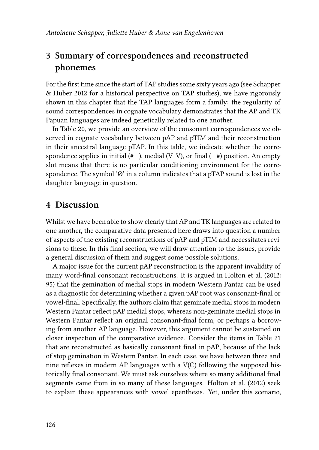### <span id="page-27-0"></span>**3 Summary of correspondences and reconstructed phonemes**

For the first time since the start of TAP studies some sixty years ago (see [Schapper](#page-54-2) [& Huber 2012](#page-54-2) for a historical perspective on TAP studies), we have rigorously shown in this chapter that the TAP languages form a family: the regularity of sound correspondences in cognate vocabulary demonstrates that the AP and TK Papuan languages are indeed genetically related to one another.

In Table [20](#page-28-0), we provide an overview of the consonant correspondences we observed in cognate vocabulary between pAP and pTIM and their reconstruction in their ancestral language pTAP. In this table, we indicate whether the correspondence applies in initial  $(\# )$ , medial (V\_V), or final  $(\# )$  position. An empty slot means that there is no particular conditioning environment for the correspondence. The symbol ' $\varnothing$ ' in a column indicates that a pTAP sound is lost in the daughter language in question.

### **4 Discussion**

Whilst we have been able to show clearly that AP and TK languages are related to one another, the comparative data presented here draws into question a number of aspects of the existing reconstructions of pAP and pTIM and necessitates revisions to these. In this final section, we will draw attention to the issues, provide a general discussion of them and suggest some possible solutions.

A major issue for the current pAP reconstruction is the apparent invalidity of many word-final consonant reconstructions. It is argued in [Holton et al. \(2012](#page-53-0): 95) that the gemination of medial stops in modern Western Pantar can be used as a diagnostic for determining whether a given pAP root was consonant-final or vowel-final. Specifically, the authors claim that geminate medial stops in modern Western Pantar reflect pAP medial stops, whereas non-geminate medial stops in Western Pantar reflect an original consonant-final form, or perhaps a borrowing from another AP language. However, this argument cannot be sustained on closer inspection of the comparative evidence. Consider the items in Table [21](#page-30-0) that are reconstructed as basically consonant final in pAP, because of the lack of stop gemination in Western Pantar. In each case, we have between three and nine reflexes in modern AP languages with a V(C) following the supposed historically final consonant. We must ask ourselves where so many additional final segments came from in so many of these languages. [Holton et al. \(2012\)](#page-53-0) seek to explain these appearances with vowel epenthesis. Yet, under this scenario,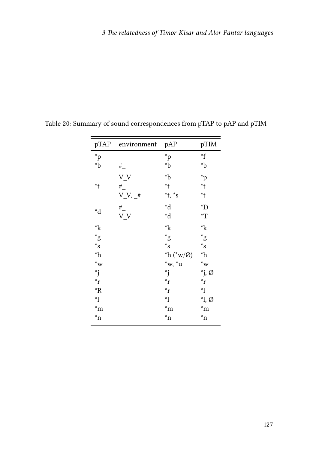<span id="page-28-0"></span>

| pTAP                     | environment                 | pAP                      | pTIM                   |
|--------------------------|-----------------------------|--------------------------|------------------------|
| $\boldsymbol{\dot{p}}$   |                             | ${}^\star \mathrm{p}$    | ${}^*f$                |
| *b                       | $\#_{\_}$                   | $^{\ast}$ b              | $^{\ast}$ b            |
|                          | $V_{V}$                     | *b                       | $\boldsymbol{\dot{p}}$ |
| *t                       | #                           | $^*t$                    | *t                     |
|                          | $V_V, _{\perp}$ #           | $^{\ast}$ t, $^{\ast}$ s | $^\star \text{t}$      |
|                          |                             | $^*d$                    | $^{\ast} \mathrm{D}$   |
| *d                       | $\stackrel{\#_-}{\rm V\_V}$ | $^*d$                    | $\mathbf{T}^*$         |
| *k                       |                             | $k^*$                    | *k                     |
| *g                       |                             | $^{\ast}\mathrm{g}$      | *g                     |
| $^*s$                    |                             | $^*s$                    | $^*s$                  |
| *h                       |                             | *h (*w/Ø)                | *h                     |
| $\boldsymbol{v}^*$       |                             | $*_{W, *u}$              | $^{\star}{\rm w}$      |
| $\dot{J}$                |                             | $\ddot{i}$               | $i$ j, Ø               |
| $r^*$                    |                             | $\overline{r}^*$         | $r^*$                  |
| *R                       |                             | $r^*$                    | $^*$ l                 |
| *1                       |                             | $^{\ast}$ l              | $^*$ l, Ø              |
| $\mathrm{^*m}$           |                             | $\cdot^*$ m              | $m^*$                  |
| $\boldsymbol{\dot{r}}$ n |                             | $\boldsymbol{\dot{r}}$ n | $^\star \text{n}$      |

Table 20: Summary of sound correspondences from pTAP to pAP and pTIM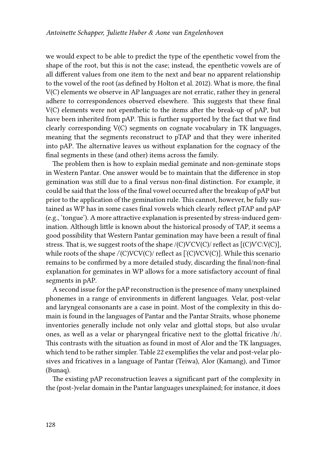we would expect to be able to predict the type of the epenthetic vowel from the shape of the root, but this is not the case; instead, the epenthetic vowels are of all different values from one item to the next and bear no apparent relationship to the vowel of the root (as defined by [Holton et al. 2012\)](#page-53-0). What is more, the final V(C) elements we observe in AP languages are not erratic, rather they in general adhere to correspondences observed elsewhere. This suggests that these final V(C) elements were not epenthetic to the items after the break-up of pAP, but have been inherited from pAP. This is further supported by the fact that we find clearly corresponding V(C) segments on cognate vocabulary in TK languages, meaning that the segments reconstruct to pTAP and that they were inherited into pAP. The alternative leaves us without explanation for the cognacy of the final segments in these (and other) items across the family.

The problem then is how to explain medial geminate and non-geminate stops in Western Pantar. One answer would be to maintain that the difference in stop gemination was still due to a final versus non-final distinction. For example, it could be said that the loss of the final vowel occurred after the breakup of pAP but prior to the application of the gemination rule. This cannot, however, be fully sustained as WP has in some cases final vowels which clearly reflect pTAP and pAP (e.g., 'tongue'). A more attractive explanation is presented by stress-induced gemination. Although little is known about the historical prosody of TAP, it seems a good possibility that Western Pantar gemination may have been a result of final stress. That is, we suggest roots of the shape  $\ell(C)V'CV(C)/$  reflect as  $[(C)V'CV(C)]$ , while roots of the shape /'(C)VCV(C)/ reflect as ['(C)VCV(C)]. While this scenario remains to be confirmed by a more detailed study, discarding the final/non-final explanation for geminates in WP allows for a more satisfactory account of final segments in pAP.

A second issue for the pAP reconstruction is the presence of many unexplained phonemes in a range of environments in different languages. Velar, post-velar and laryngeal consonants are a case in point. Most of the complexity in this domain is found in the languages of Pantar and the Pantar Straits, whose phoneme inventories generally include not only velar and glottal stops, but also uvular ones, as well as a velar or pharyngeal fricative next to the glottal fricative /h/. This contrasts with the situation as found in most of Alor and the TK languages, which tend to be rather simpler. Table [22](#page-31-0) exemplifies the velar and post-velar plosives and fricatives in a language of Pantar (Teiwa), Alor (Kamang), and Timor (Bunaq).

The existing pAP reconstruction leaves a significant part of the complexity in the (post-)velar domain in the Pantar languages unexplained; for instance, it does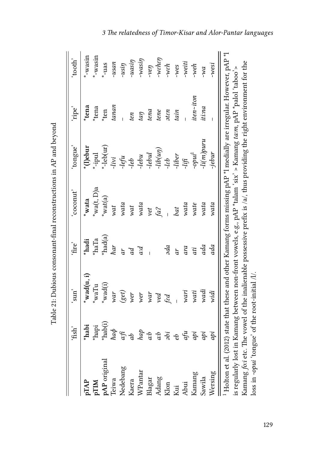<span id="page-30-0"></span>

| inhining conson-thas reconstructions in AP and beyon<br>$-1.1$<br>Í<br>ובנטבע בנו<br>vac voim viimas<br>.<br>1<br>1 |        |
|---------------------------------------------------------------------------------------------------------------------|--------|
|                                                                                                                     | į      |
|                                                                                                                     |        |
|                                                                                                                     |        |
|                                                                                                                     |        |
|                                                                                                                     |        |
|                                                                                                                     | .<br>[ |

|                                                 | ʻfish'    | $\sum_{i=1}^{n}$                                                                                                         | fire'      | coconut'    | tongue'                                     | ripe'      | tooth'             |
|-------------------------------------------------|-----------|--------------------------------------------------------------------------------------------------------------------------|------------|-------------|---------------------------------------------|------------|--------------------|
| pTAP                                            | 'habi     | $\mathbf{w}\mathbf{a}\mathbf{d}(\mathbf{u},\mathbf{i})$                                                                  | hadi       | wata        | (l)ebur                                     | 'tena      | -wasin             |
| pTIM                                            | *hapi     | waTu*                                                                                                                    | *haTa      | wa(t, D)a   | Indr <sub>-</sub>                           | *tena      | ursew-,            |
| pAP original                                    | $*hab(i)$ | *wad(i)                                                                                                                  | *had(a)    | wat(a)      | $-leb(ur)$                                  | $t$ ten    | *-uas              |
| Teiwa                                           | ħаф       | var                                                                                                                      | <i>har</i> | wat         | $-1$ ivi                                    | tanan      | unsan              |
| Nedebang                                        | сħ        | (get)                                                                                                                    | a r        | wata        | $\begin{array}{c} -lefu\\ -leb \end{array}$ |            | $i$ sin            |
| Kaera                                           |           | wer                                                                                                                      |            | $\omega$ at |                                             | ten        | usson-             |
| $WP$ antar                                      | hap       | wer                                                                                                                      | аd         | wata        | $-lebu$                                     | $t a \eta$ | usva-              |
| Blagar                                          | q         | var                                                                                                                      |            | vet         | $-lebul$                                    | tena       | $-ve\eta$          |
| Adang                                           | qз        | ved                                                                                                                      |            | fa?         | $-lib(up)$                                  | tene       | -weher,            |
| Klon                                            | ъij       | fēd                                                                                                                      | ppe        |             | $431-$                                      | $^{16n}$   | $-w \varepsilon h$ |
| Kui                                             |           |                                                                                                                          | a r        | bat         | $-liber$                                    | tain       | -wes               |
| Abui                                            | ьр        | vari                                                                                                                     | ara        | wata        | -lift                                       |            | -weiti             |
| Kamang                                          | ią        | wati                                                                                                                     | ati        | wate        | $-optui^1$                                  | iten~iton  | $-weh$             |
| Sawila                                          | ä         | wadi                                                                                                                     | ada        | wata        | $-li(m)$ puru                               | iti:na     | $W^{\mathcal{U}}$  |
| Wersing                                         | api       | widi                                                                                                                     | ada        | wata        | -jebur                                      |            | $-wesi$            |
|                                                 |           | $^1$ Holton et al. (2012) state that these and other Kamang forms missing pAP *1 medially are irregular. However, pAP *1 |            |             |                                             |            |                    |
|                                                 |           | is regularly lost in Kamang between non-front vowels, e.g., pAP *talam 'six' > Kamang <i>tɑːm</i> , pAP *palol 'taboo'>  |            |             |                                             |            |                    |
|                                                 |           | Kamang fo:i etc. The vowel of the inalienable possessive prefix is /a/, thus providing the right environment for the     |            |             |                                             |            |                    |
| loss in -opui 'tongue' of the root-initial /l/. |           |                                                                                                                          |            |             |                                             |            |                    |

### *3 The relatedness of Timor-Kisar and Alor-Pantar languages*

loss in *-opui* 'tongue' of the root-initial /l/.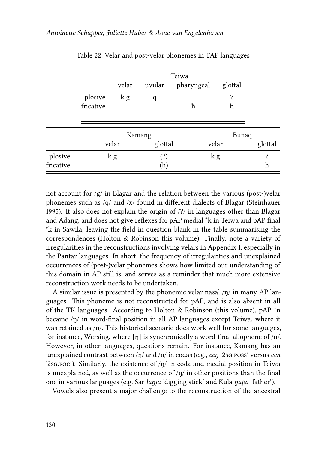|           |           |       |         | Teiwa      |          |         |
|-----------|-----------|-------|---------|------------|----------|---------|
|           |           | velar | uvular  | pharyngeal | glottal  |         |
|           | plosive   | $k$ g | q       |            | $\gamma$ |         |
|           | fricative |       |         | ħ          | h        |         |
|           |           |       |         |            |          |         |
|           |           |       | Kamang  |            | Bunaq    |         |
|           |           | velar | glottal |            | velar    | glottal |
| plosive   |           | k g   | (?)     |            | k g      | ?       |
| fricative |           |       | (h)     |            |          | h       |

<span id="page-31-0"></span>Table 22: Velar and post-velar phonemes in TAP languages

not account for  $/g$  in Blagar and the relation between the various (post-)velar phonemes such as /q/ and /x/ found in different dialects of Blagar([Steinhauer](#page-55-2) [1995\)](#page-55-2). It also does not explain the origin of  $/2/$  in languages other than Blagar and Adang, and does not give reflexes for pAP medial \*k in Teiwa and pAP final \*k in Sawila, leaving the field in question blank in the table summarising the correspondences [\(Holton & Robinson this volume\)](#page-53-2). Finally, note a variety of irregularities in the reconstructions involving velars in Appendix 1, especially in the Pantar languages. In short, the frequency of irregularities and unexplained occurrences of (post-)velar phonemes shows how limited our understanding of this domain in AP still is, and serves as a reminder that much more extensive reconstruction work needs to be undertaken.

A similar issue is presented by the phonemic velar nasal /ŋ/ in many AP languages. This phoneme is not reconstructed for pAP, and is also absent in all of the TK languages. According to [Holton & Robinson \(this volume\),](#page-53-2) pAP \*n became  $/p /$  in word-final position in all AP languages except Teiwa, where it was retained as /n/. This historical scenario does work well for some languages, for instance, Wersing, where [ŋ] is synchronically a word-final allophone of /n/. However, in other languages, questions remain. For instance, Kamang has an unexplained contrast between /ŋ/ and /n/ in codas (e.g., *eeŋ* '2sg.poss' versus *een* '2sg.foc'). Similarly, the existence of  $/\eta$  in coda and medial position in Teiwa is unexplained, as well as the occurrence of  $/\eta$  in other positions than the final one in various languages (e.g. Sar *laŋja* 'digging stick' and Kula *ŋapa* 'father').

Vowels also present a major challenge to the reconstruction of the ancestral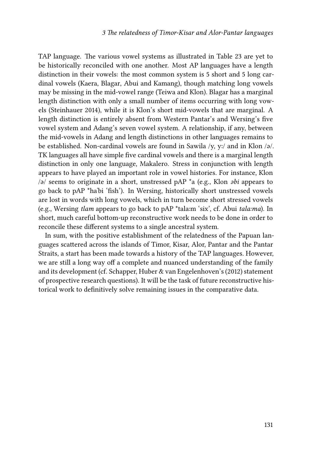TAP language. The various vowel systems as illustrated in Table [23](#page-33-0) are yet to be historically reconciled with one another. Most AP languages have a length distinction in their vowels: the most common system is 5 short and 5 long cardinal vowels (Kaera, Blagar, Abui and Kamang), though matching long vowels may be missing in the mid-vowel range (Teiwa and Klon). Blagar has a marginal length distinction with only a small number of items occurring with long vowels([Steinhauer 2014](#page-55-3)), while it is Klon's short mid-vowels that are marginal. A length distinction is entirely absent from Western Pantar's and Wersing's five vowel system and Adang's seven vowel system. A relationship, if any, between the mid-vowels in Adang and length distinctions in other languages remains to be established. Non-cardinal vowels are found in Sawila /y, yː/ and in Klon /ə/. TK languages all have simple five cardinal vowels and there is a marginal length distinction in only one language, Makalero. Stress in conjunction with length appears to have played an important role in vowel histories. For instance, Klon /ə/ seems to originate in a short, unstressed pAP \*a (e.g., Klon *əbi* appears to go back to pAP \*haˈbi 'fish'). In Wersing, historically short unstressed vowels are lost in words with long vowels, which in turn become short stressed vowels (e.g., Wersing *tlam* appears to go back to pAP \*talaːm 'six', cf. Abui *talaːma*). In short, much careful bottom-up reconstructive work needs to be done in order to reconcile these different systems to a single ancestral system.

In sum, with the positive establishment of the relatedness of the Papuan languages scattered across the islands of Timor, Kisar, Alor, Pantar and the Pantar Straits, a start has been made towards a history of the TAP languages. However, we are still a long way off a complete and nuanced understanding of the family and its development (cf. [Schapper, Huber & van Engelenhoven](#page-54-0)'s([2012](#page-54-0)) statement of prospective research questions). It will be the task of future reconstructive historical work to definitively solve remaining issues in the comparative data.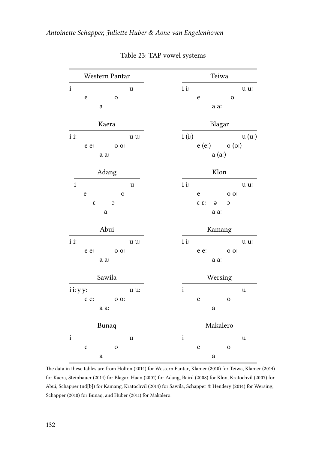|                     |                         | Western Pantar |             |              |                            | Teiwa    |             |             |
|---------------------|-------------------------|----------------|-------------|--------------|----------------------------|----------|-------------|-------------|
| $\mathbf{i}$        |                         |                | $\mathbf u$ | i i:         |                            |          |             | u u:        |
|                     | ${\bf e}$               | $\mathbf O$    |             |              | $\mathbf e$                |          | $\mathbf 0$ |             |
|                     |                         | $\rm{a}$       |             |              |                            | a a:     |             |             |
|                     |                         | Kaera          |             |              |                            | Blagar   |             |             |
| $\boldsymbol{i}$ i: |                         |                | u u:        | i(i)         |                            |          |             | u(u)        |
|                     | e e:                    | 0 0:           |             |              | e(e)                       |          | o(0)        |             |
|                     |                         | a a:           |             |              |                            | a(a)     |             |             |
|                     |                         | Adang          |             |              |                            | Klon     |             |             |
| $\mathbf{i}$        |                         |                | $\mathbf u$ | i i:         |                            |          |             | u u:        |
|                     | e                       | o              |             |              | $\mathbf e$                |          | 0 0:        |             |
|                     | $\boldsymbol{\epsilon}$ | C              |             |              | $\epsilon$ $\varepsilon$ : | э        | С           |             |
|                     |                         | $\rm{a}$       |             |              |                            | a a:     |             |             |
|                     |                         | Abui           |             |              |                            | Kamang   |             |             |
| $i$ i:              |                         |                | u u:        | i i:         |                            |          |             | u u:        |
|                     | e e:                    | 0 0.           |             |              | e e:                       |          | 0 0.        |             |
|                     |                         | a a:           |             |              |                            | a a:     |             |             |
|                     |                         | Sawila         |             |              |                            | Wersing  |             |             |
| i i: y y:           |                         |                | u u:        | $\rm i$      |                            |          |             | $\mathbf u$ |
|                     | e e:                    | 0 0.           |             |              | $\mathbf e$                |          | $\mathbf 0$ |             |
|                     |                         | a a:           |             |              |                            | $\rm{a}$ |             |             |
|                     |                         | Bunaq          |             |              |                            | Makalero |             |             |
| $\mathbf{i}$        |                         |                | $\mathbf u$ | $\mathbf{i}$ |                            |          |             | $\mathbf u$ |
|                     | ${\bf e}$               | $\mathbf O$    |             |              | $\mathbf e$                |          | $\mathbf 0$ |             |
|                     |                         | $\rm{a}$       |             |              |                            | a        |             |             |

<span id="page-33-0"></span>Table 23: TAP vowel systems

The data in these tables are from [Holton \(2014\)](#page-53-3) for Western Pantar, [Klamer \(2010\)](#page-53-4) for Teiwa, [Klamer \(2014\)](#page-54-3) for Kaera, [Steinhauer \(2014\)](#page-55-3) for Blagar, [Haan \(2001\)](#page-53-5) for Adang, [Baird \(2008\)](#page-53-6) for Klon, [Kratochvíl \(2007\)](#page-54-4) for Abui, [Schapper \(nd\[b\]\)](#page-54-5) for Kamang, [Kratochvíl \(2014\)](#page-54-6) for Sawila, [Schapper & Hendery \(2014\)](#page-54-7) for Wersing, [Schapper \(2010\)](#page-54-8) for Bunaq, and [Huber \(2011\)](#page-53-7) for Makalero.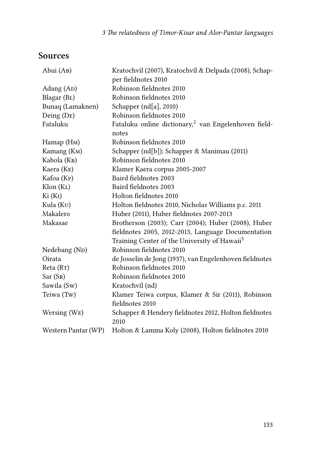# **Sources**

| Abui (Ав)                  | Kratochvíl (2007), Kratochvíl & Delpada (2008), Schap-           |
|----------------------------|------------------------------------------------------------------|
|                            | per fieldnotes 2010                                              |
| Adang (AD)                 | Robinson fieldnotes 2010                                         |
| Blagar (BL)                | Robinson fieldnotes 2010                                         |
| Bunaq (Lamaknen)           | Schapper $(nd[a], 2010)$                                         |
| Deing (DE)                 | Robinson fieldnotes 2010                                         |
| Fataluku                   | Fataluku online dictionary, <sup>2</sup> van Engelenhoven field- |
|                            | notes                                                            |
| Hamap(HM)                  | Robinson fieldnotes 2010                                         |
| Kamang (KM)                | Schapper (nd[b]); Schapper & Manimau (2011)                      |
| Kabola (Кв)                | Robinson fieldnotes 2010                                         |
| Kaera (KE)                 | Klamer Kaera corpus 2005-2007                                    |
| Kafoa (KF)                 | Baird fieldnotes 2003                                            |
| Klon (KL)                  | Baird fieldnotes 2003                                            |
| Ki(KI)                     | Holton fieldnotes 2010                                           |
| Kula (Ku)                  | Holton fieldnotes 2010, Nicholas Williams p.c. 2011              |
| Makalero                   | Huber (2011), Huber fieldnotes 2007-2013                         |
| Makasae                    | Brotherson (2003); Carr (2004); Huber (2008), Huber              |
|                            | fieldnotes 2005, 2012-2013, Language Documentation               |
|                            | Training Center of the University of Hawaii <sup>3</sup>         |
| Nedebang (N <sub>D</sub> ) | Robinson fieldnotes 2010                                         |
| Oirata                     | de Josselin de Jong (1937), van Engelenhoven fieldnotes          |
| Reta (RT)                  | Robinson fieldnotes 2010                                         |
| Sar(SR)                    | Robinson fieldnotes 2010                                         |
| Sawila (Sw)                | Kratochvíl (nd)                                                  |
| Teiwa (Tw)                 | Klamer Teiwa corpus, Klamer & Sir (2011), Robinson               |
|                            | fieldnotes 2010                                                  |
| Wersing $(WE)$             | Schapper & Hendery fieldnotes 2012, Holton fieldnotes<br>2010    |
| Western Pantar (WP)        | Holton & Lamma Koly (2008), Holton fieldnotes 2010               |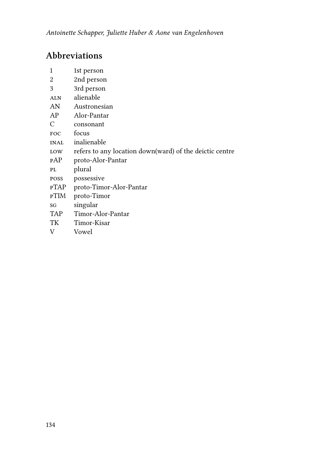# **Abbreviations**

| 1           | 1st person                                              |
|-------------|---------------------------------------------------------|
| 2           | 2nd person                                              |
| 3           | 3rd person                                              |
| <b>ALN</b>  | alienable                                               |
| AN          | Austronesian                                            |
| AP          | Alor-Pantar                                             |
| C           | consonant                                               |
| <b>FOC</b>  | focus                                                   |
| <b>INAL</b> | inalienable                                             |
| LOW         | refers to any location down(ward) of the deictic centre |
| <b>PAP</b>  | proto-Alor-Pantar                                       |
| PL          | plural                                                  |
| <b>POSS</b> | possessive                                              |
| <b>PTAP</b> | proto-Timor-Alor-Pantar                                 |
| <b>PTIM</b> | proto-Timor                                             |
| SG          | singular                                                |
| <b>TAP</b>  | Timor-Alor-Pantar                                       |
| TK          | Timor-Kisar                                             |
| V           | Vowel                                                   |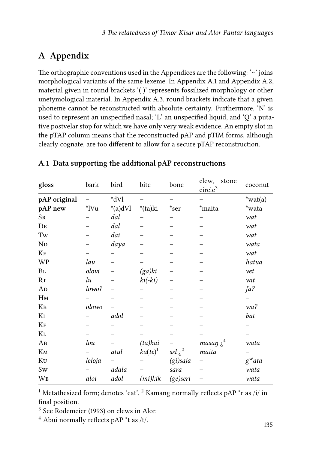# A Appendix

The orthographic conventions used in the Appendices are the following: '~' joins morphological variants of the same lexeme. In Appendix A.1 and Appendix A.2, material given in round brackets '()' represents fossilized morphology or other unetymological material. In Appendix A.3, round brackets indicate that a given phoneme cannot be reconstructed with absolute certainty. Furthermore, 'N' is used to represent an unspecified nasal; 'L' an unspecified liquid, and 'O' a putative postvelar stop for which we have only very weak evidence. An empty slot in the pTAP column means that the reconstructed pAP and pTIM forms, although clearly cognate, are too different to allow for a secure pTAP reconstruction.

| gloss          | bark           | bird      | bite       | bone        | clew,<br>stone<br>circle <sup>3</sup> | coconut       |
|----------------|----------------|-----------|------------|-------------|---------------------------------------|---------------|
| pAP original   |                | $^*dV1$   |            |             |                                       | $*$ wat $(a)$ |
| pAP new        | $*$ l $Vu$     | $*(a)dV1$ | *(ta)ki    | *ser        | *maita                                | *wata         |
| $S_{R}$        |                | dal       |            |             |                                       | wat           |
| $D_E$          |                | dal       |            |             |                                       | wat           |
| Tw             |                | dai       |            |             |                                       | wat           |
| $N_{\rm D}$    |                | daya      |            |             |                                       | wata          |
| $K_{E}$        |                |           |            |             |                                       | wat           |
| <b>WP</b>      | lau            |           |            |             |                                       | hatua         |
| B <sub>L</sub> | olovi          |           | (ga)ki     |             |                                       | vet           |
| $R_{\rm T}$    | $\mathfrak{u}$ |           | $ki(-ki)$  |             |                                       | vat           |
| A <sub>D</sub> | lowo?          |           |            |             |                                       | fa?           |
| $H_M$          |                |           |            |             |                                       |               |
| Kв             | olowo          |           |            |             |                                       | wa?           |
| Kі             |                | adol      |            |             |                                       | bat           |
| $K_{\rm F}$    |                |           |            |             |                                       |               |
| KL             |                |           |            |             |                                       |               |
| Aв             | lou            |           | (ta) kai   |             | masa $\eta$ $\chi^4$                  | wata          |
| Kм             |                | atul      | $ka(te)^1$ | sel $i^2$   | maita                                 |               |
| Ku             | leloja         |           |            | $(gi)$ saja |                                       | $g^w$ ata     |
| <b>Sw</b>      |                | adala     |            | sara        |                                       | wata          |
| WЕ             | aloi           | adol      | $(mi)$ kik | $(ge)$ seri |                                       | wata          |

<span id="page-36-0"></span>A.1 Data supporting the additional pAP reconstructions

<sup>1</sup> Metathesized form; denotes 'eat'. <sup>2</sup> Kamang normally reflects pAP  $*$ r as /i/ in final position.

<sup>3</sup> See Rodemeier (1993) on clews in Alor.

 $4$  Abui normally reflects pAP  $*$ t as /t/.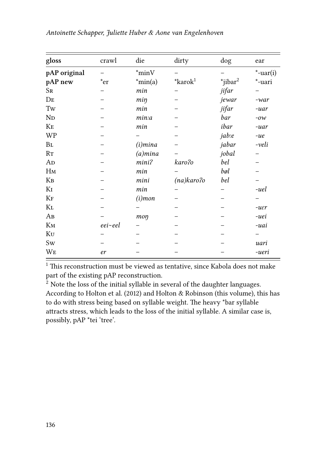| gloss          | crawl   | die         | dirty               | dog                 | ear         |
|----------------|---------|-------------|---------------------|---------------------|-------------|
| pAP original   |         | $*$ min $V$ |                     |                     | $*$ -uar(i) |
| pAP new        | *er     | $*min(a)$   | *karok <sup>1</sup> | *jibar <sup>2</sup> | *-uari      |
| $S_{R}$        |         | min         |                     | jifar               |             |
| $D_E$          |         | min         |                     | jewar               | $-war$      |
| Tw             |         | min         |                     | jifar               | -uar        |
| $N_{\rm D}$    |         | min: a      |                     | bar                 | $-0w$       |
| $K_{E}$        |         | min         |                     | ibar                | -uar        |
| <b>WP</b>      |         |             |                     | jab:e               | $-ue$       |
| B <sub>L</sub> |         | (i) mina    |                     | jabar               | $-veli$     |
| $R_{T}$        |         | (a) mina    |                     | jobal               |             |
| AD             |         | $mini$ ?    | karo?o              | bel                 |             |
| $H_M$          |         | min         |                     | bøl                 |             |
| $K_{B}$        |         | mini        | $(na)$ karo?o       | bel                 |             |
| $\rm{Kr}$      |         | min         |                     |                     | -uel        |
| $K_{\rm F}$    |         | $(i)$ mon   |                     |                     |             |
| KL             |         |             |                     |                     | $-uer$      |
| AB             |         | mon         |                     |                     | -uei        |
| Kм             | eei~eel |             |                     |                     | -uai        |
| Ku             |         |             |                     |                     |             |
| Sw             |         |             |                     |                     | uari        |
| WE             | er      |             |                     |                     | -ueri       |

Antoinette Schapper, Juliette Huber & Aone van Engelenhoven

<sup>1</sup> This reconstruction must be viewed as tentative, since Kabola does not make part of the existing pAP reconstruction.

<sup>2</sup> Note the loss of the initial syllable in several of the daughter languages. According to Holton et al. (2012) and Holton & Robinson (this volume), this has to do with stress being based on syllable weight. The heavy \*bar syllable attracts stress, which leads to the loss of the initial syllable. A similar case is, possibly, pAP \*tei 'tree'.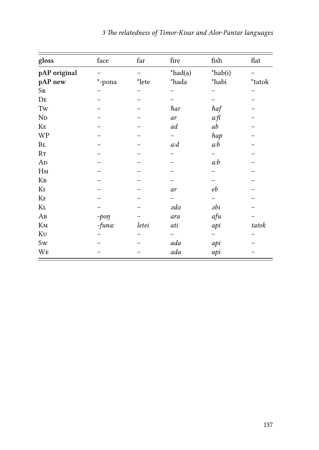| gloss           | face      | far          | fire          | fish      | flat   |
|-----------------|-----------|--------------|---------------|-----------|--------|
| pAP original    |           |              | $*had(a)$     | $*hab(i)$ |        |
| pAP new         | *-pona    | $^\ast$ lete | *hada         | *habi     | *tatok |
| $S_{R}$         |           |              |               |           |        |
| $\rm{D} \rm{E}$ |           |              |               |           |        |
| Tw              |           |              | ħar           | ħaf       |        |
| $N_{\rm D}$     |           |              | ar            | a:fi      |        |
| $K_{E}$         |           |              | ad            | ab        |        |
| <b>WP</b>       |           |              |               | hap       |        |
| B <sub>L</sub>  |           |              | a:d           | a:b       |        |
| $R_{\rm T}$     |           |              |               |           |        |
| AD              |           |              |               | a:b       |        |
| $H_M$           |           |              |               |           |        |
| K <sub>B</sub>  |           |              |               |           |        |
| Kı              |           |              | ar            | eb        |        |
| $K_{\rm F}$     |           |              |               |           |        |
| $\rm{KL}$       |           |              | $\partial da$ | əbi       |        |
| Aв              | $-poj$    |              | ara           | afu       |        |
| Kм              | $-f$ una: | letei        | ati           | api       | tatok  |
| Ku              |           |              |               |           |        |
| Sw              |           |              | ada           | api       |        |
| $\rm{WE}$       |           |              | ada           | api       |        |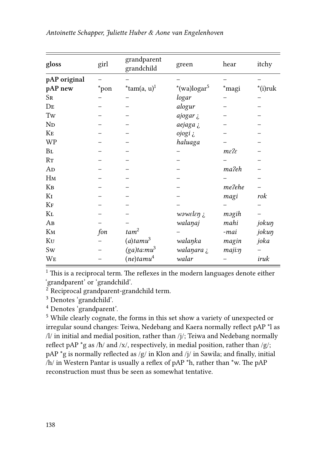| gloss          | girl | grandparent<br>grandchild     | green                   | hear                     | itchy   |
|----------------|------|-------------------------------|-------------------------|--------------------------|---------|
| pAP original   |      |                               |                         |                          |         |
| pAP new        | *pon | $*$ tam $(a, u)$ <sup>1</sup> | *(wa)logar <sup>5</sup> | *magi                    | *(i)ruk |
| $S_{R}$        |      |                               | logar                   |                          |         |
| $D_E$          |      |                               | alogur                  |                          |         |
| Tw             |      |                               | ajogar i                |                          |         |
| $N_{\rm D}$    |      |                               | aejaga i                |                          |         |
| KЕ             |      |                               | ojogi <sub>i</sub>      |                          |         |
| WP             |      |                               | haluaga                 |                          |         |
| B <sub>L</sub> |      |                               |                         | $m\epsilon$ ? $\epsilon$ |         |
| $R_{T}$        |      |                               |                         |                          |         |
| AD             |      |                               |                         | ma?eh                    |         |
| $H_M$          |      |                               |                         |                          |         |
| K <sub>B</sub> |      |                               |                         | me?ehe                   |         |
| Kі             |      |                               |                         | magi                     | rok     |
| $K_{\rm F}$    |      |                               |                         |                          |         |
| KL             |      |                               | wəwelen i               | məgih                    |         |
| AB             |      |                               | walanaj                 | mahi                     | jokun   |
| Kм             | fon  | $tam^2$                       |                         | -mai                     | jokun   |
| Ku             |      | $(a)$ tamu <sup>3</sup>       | walaŋka                 | magin                    | joka    |
| Sw             |      | $(ga)$ ta:mu <sup>3</sup>     | walanara i              | maji:ŋ                   |         |
| WE             |      | $(ne)$ tamu <sup>4</sup>      | walar                   |                          | iruk    |

*Antoinette Schapper, Juliette Huber & Aone van Engelenhoven*

 $1$  This is a reciprocal term. The reflexes in the modern languages denote either 'grandparent' or 'grandchild'.

<sup>2</sup> Reciprocal grandparent-grandchild term.

<sup>3</sup> Denotes 'grandchild'.

<sup>4</sup> Denotes 'grandparent'.

<sup>5</sup> While clearly cognate, the forms in this set show a variety of unexpected or irregular sound changes: Teiwa, Nedebang and Kaera normally reflect pAP \*l as /l/ in initial and medial position, rather than /j/; Teiwa and Nedebang normally reflect pAP  $*$ g as /ħ/ and /x/, respectively, in medial position, rather than /g/; pAP  $*$ g is normally reflected as /g/ in Klon and /j/ in Sawila; and finally, initial /h/ in Western Pantar is usually a reflex of pAP \*h, rather than \*w. The pAP reconstruction must thus be seen as somewhat tentative.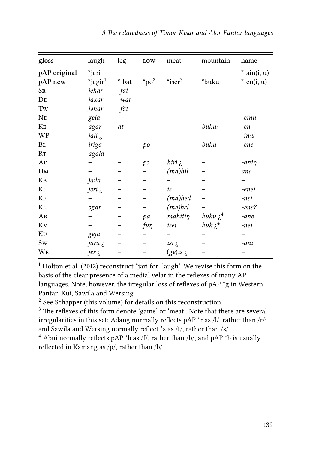| gloss          | laugh            | leg    | $_{\rm{LOW}}$     | meat                | mountain   | name               |
|----------------|------------------|--------|-------------------|---------------------|------------|--------------------|
| pAP original   | *jari            |        |                   |                     |            | $*$ -ain $(i, u)$  |
| pAP new        | $j$ iagir $l$    | *-bat  | $*_{\text{po}^2}$ | $*_{\text{iser}}^3$ | *buku      | $*-en(i, u)$       |
| $S_{R}$        | jehar            | -fat   |                   |                     |            |                    |
| $D_E$          | jaxar            | $-wat$ |                   |                     |            |                    |
| Tw             | jəhar            | $-fat$ |                   |                     |            |                    |
| $N_{\rm D}$    | gela             |        |                   |                     |            | $-einu$            |
| KЕ             | agar             | at     |                   |                     | buku:      | $-en$              |
| <b>WP</b>      | jali į           |        |                   |                     |            | $-in: u$           |
| B <sub>L</sub> | iriga            |        | po                |                     | buku       | $-ene$             |
| $R_{\rm T}$    | agala            |        |                   |                     |            |                    |
| AD             |                  |        | p <sub>0</sub>    | hiri <sub>i</sub>   |            | $-ani\eta$         |
| $H_M$          |                  |        |                   | $(ma)$ hil          |            | $a n \varepsilon$  |
| Kв             | ja:la            |        |                   |                     |            |                    |
| Kі             | jeri į           |        |                   | is                  |            | $-enei$            |
| $\rm K\rm F$   |                  |        |                   | $(ma)$ he: $l$      |            | $-n\epsilon i$     |
| KL             | agar             |        |                   | $(m\partial)$ hel   |            | $-3n\varepsilon$ ? |
| Aв             |                  |        | pa                | mahitin             | buku $i^4$ | -ane               |
| Kм             |                  |        | fuŋ               | isei                | buk $i^4$  | -nei               |
| Ku             | geja             |        |                   |                     |            |                    |
| Sw             | jara i           |        |                   | isi <sub>c</sub>    |            | -ani               |
| WЕ             | jer <sub>i</sub> |        |                   | $(ge)$ is $\zeta$   |            |                    |

<sup>1</sup> [Holton et al. \(2012\)](#page-53-0) reconstruct \*jari for 'laugh'. We revise this form on the basis of the clear presence of a medial velar in the reflexes of many AP languages. Note, however, the irregular loss of reflexes of pAP \*g in Western Pantar, Kui, Sawila and Wersing.

 $2$  See [Schapper \(this volume\)](#page-54-1) for details on this reconstruction.

<sup>3</sup> The reflexes of this form denote 'game' or 'meat'. Note that there are several irregularities in this set: Adang normally reflects pAP \*r as /l/, rather than /r/; and Sawila and Wersing normally reflect \*s as /t/, rather than /s/.

 $4$  Abui normally reflects pAP \*b as /f/, rather than /b/, and pAP \*b is usually reflected in Kamang as /p/, rather than /b/.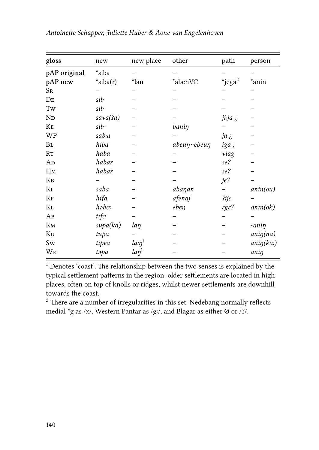| gloss          | new            | new place        | other                   | path                      | person                   |
|----------------|----------------|------------------|-------------------------|---------------------------|--------------------------|
| pAP original   | *siba          |                  |                         |                           |                          |
| pAP new        | $*$ siba $(r)$ | *lan             | *abenVC                 | "jega <sup>2</sup>        | *anin                    |
| $S_{R}$        |                |                  |                         |                           |                          |
| $D_E$          | sib            |                  |                         |                           |                          |
| Tw             | sib            |                  |                         |                           |                          |
| $N_{\rm D}$    | sava(2a)       |                  |                         | ji:ja <sub>i</sub>        |                          |
| $K_E$          | sib-           |                  | banin                   |                           |                          |
| <b>WP</b>      | sab:a          |                  |                         | ja <sub>i</sub>           |                          |
| B <sub>L</sub> | hiba           |                  | $abeu\eta$ ~ebeu $\eta$ | iga i                     |                          |
| $R_{\rm T}$    | haba           |                  |                         | viag                      |                          |
| A <sub>D</sub> | habar          |                  |                         | se?                       |                          |
| $H_M$          | habar          |                  |                         | se?                       |                          |
| Kв             |                |                  |                         | je?                       |                          |
| Kі             | saba           |                  | abaŋan                  |                           | $\text{anin}(\text{ou})$ |
| $K_{\rm F}$    | hifa           |                  | afenaj                  | $7i j \varepsilon$        |                          |
| $\rm{KL}$      | həba:          |                  | eben                    | $\epsilon$ g $\epsilon$ ? | ann(ok)                  |
| Aв             | tıfa           |                  |                         |                           |                          |
| Kм             | supa(ka)       | laŋ              |                         |                           | -anin                    |
| Ku             | tupa           |                  |                         |                           | anip(na)                 |
| Sw             | tipea          | $laxn^1$         |                         |                           | $ani\eta(ka)$            |
| WЕ             | təpa           | lap <sup>1</sup> |                         |                           | anin                     |

*Antoinette Schapper, Juliette Huber & Aone van Engelenhoven*

<sup>1</sup> Denotes 'coast'. The relationship between the two senses is explained by the typical settlement patterns in the region: older settlements are located in high places, often on top of knolls or ridges, whilst newer settlements are downhill towards the coast.

 $^{\rm 2}$  There are a number of irregularities in this set: Nedebang normally reflects medial  $*$ g as /x/, Western Pantar as /gː/, and Blagar as either Ø or /ʔ/.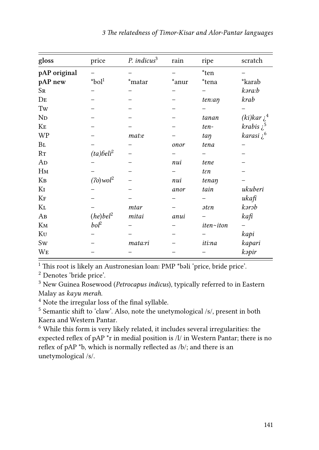| gloss          | price                    | $P.$ indicus $3$ | rain      | ripe                               | scratch          |
|----------------|--------------------------|------------------|-----------|------------------------------------|------------------|
| pAP original   |                          |                  |           | *ten                               |                  |
| pAP new        | $\text{*bol}^1$          | *matar           | $^*$ anur | *tena                              | *karab           |
| $S_{R}$        |                          |                  |           |                                    | kəra:b           |
| $D_E$          |                          |                  |           | ten:an                             | krab             |
| Tw             |                          |                  |           |                                    |                  |
| $N_{\rm D}$    |                          |                  |           | tanan                              | $(ki)$ kar $i^4$ |
| $K_E$          |                          |                  |           | ten-                               | krabis $i^5$     |
| WP             |                          | mat:e            |           | taŋ                                | karasi : 6       |
| B <sub>L</sub> |                          |                  | onor      | tena                               |                  |
| $R_{\rm T}$    | $(ta)$ beli <sup>2</sup> |                  |           |                                    |                  |
| A <sub>D</sub> |                          |                  | nui       | tene                               |                  |
| $H_M$          |                          |                  |           | $t\varepsilon n$                   |                  |
| Kв             | $(20)$ wol <sup>2</sup>  |                  | nui       | tenan                              |                  |
| Kі             |                          |                  | anor      | tain                               | ukuberi          |
| $K_{\rm F}$    |                          |                  |           |                                    | ukafi            |
| $\rm{Kr}$      |                          | mtar             |           | $\partial \mathit{t}\varepsilon n$ | kərəb            |
| AB             | (he)bel <sup>2</sup>     | mitai            | anui      |                                    | kafi             |
| Kм             | bol <sup>2</sup>         |                  |           | $iten~\sim$ iton                   |                  |
| Ku             |                          |                  |           |                                    | kapi             |
| Sw             |                          | <i>mata:ri</i>   |           | <i>iti:na</i>                      | kapari           |
| WЕ             |                          |                  |           |                                    | kəpir            |

<sup>1</sup> This root is likely an Austronesian loan: PMP \*bəli 'price, bride price'.

<sup>2</sup> Denotes 'bride price'.

<sup>3</sup> New Guinea Rosewood (*Petrocapus indicus*), typically referred to in Eastern Malay as *kayu merah*.

 $^4$  Note the irregular loss of the final syllable.

<sup>5</sup> Semantic shift to 'claw'. Also, note the unetymological /s/, present in both Kaera and Western Pantar.

 $6$  While this form is very likely related, it includes several irregularities: the expected reflex of pAP \*r in medial position is /l/ in Western Pantar; there is no reflex of pAP \*b, which is normally reflected as /b/; and there is an unetymological /s/.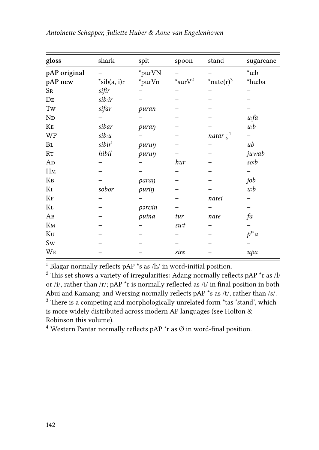| gloss          | shark              | spit   | spoon                                | stand         | sugarcane          |
|----------------|--------------------|--------|--------------------------------------|---------------|--------------------|
| pAP original   |                    | *purVN |                                      |               | $*$ u:b            |
| pAP new        | $*sib(a, i)r$      | *purVn | $^{\star}\mathrm{s}\mathrm{urV}^{2}$ | *nate $(r)^3$ | *hu:ba             |
| $S_{R}$        | sifir              |        |                                      |               |                    |
| $D_E$          | <i>sib:ir</i>      |        |                                      |               |                    |
| Tw             | sifar              | puran  |                                      |               |                    |
| $N_{\rm D}$    |                    |        |                                      |               | u:fa               |
| $K_E$          | sibar              | puraŋ  |                                      |               | u:b                |
| <b>WP</b>      | sib:u              |        |                                      | natar $i^4$   |                    |
| B <sub>L</sub> | sibir <sup>1</sup> | purun  |                                      |               | ub                 |
| $R_{\rm T}$    | hibil              | purun  |                                      |               | juwab              |
| A <sub>D</sub> |                    |        | hur                                  |               | so:b               |
| $H_M$          |                    |        |                                      |               |                    |
| K <sub>B</sub> |                    | paraŋ  |                                      |               | job                |
| $\rm{Kr}$      | sobor              | purin  |                                      |               | u:b                |
| $K_{\rm F}$    |                    |        |                                      | natei         |                    |
| $\rm{KL}$      |                    | paroin |                                      |               |                    |
| Aв             |                    | puina  | tur                                  | nate          | fa                 |
| Kм             |                    |        | suːt                                 |               |                    |
| Ku             |                    |        |                                      |               | $p^{\mathcal{W}}a$ |
| Sw             |                    |        |                                      |               |                    |
| WЕ             |                    |        | sire                                 |               | upa                |

<sup>1</sup> Blagar normally reflects pAP  $*$ s as /h/ in word-initial position.

<sup>2</sup> This set shows a variety of irregularities: Adang normally reflects pAP  $*$ r as /l/ or /i/, rather than /r/; pAP \*r is normally reflected as /i/ in final position in both Abui and Kamang; and Wersing normally reflects pAP \*s as /t/, rather than /s/. <sup>3</sup> There is a competing and morphologically unrelated form \*tas 'stand', which is more widely distributed across modern AP languages (see [Holton &](#page-53-2) [Robinson this volume](#page-53-2)).

 $^4$  Western Pantar normally reflects pAP  $\text{*r}$  as Ø in word-final position.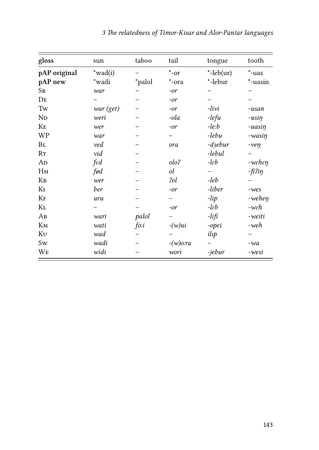| gloss          | sun               | taboo  | tail        | tongue            | tooth                            |
|----------------|-------------------|--------|-------------|-------------------|----------------------------------|
| pAP original   | *wad(i)           |        | $*$ -or     | $*$ -leb $(ur)$   | *-uas                            |
| pAP new        | *wadi             | *palol | *-ora       | *-lebur           | *-uasin                          |
| $S_{R}$        | war               |        | $-or$       |                   |                                  |
| $D_E$          |                   |        | $-or$       |                   |                                  |
| Tw             | war (get)         |        | $-or$       | $-livi$           | -usan                            |
| $N_{\rm D}$    | weri              |        | -ola        | -lefu             | $-using$                         |
| KE             | wer               |        | $-or$       | $-le:b$           | -uasin                           |
| <b>WP</b>      | war               |        |             | $-lebu$           | -wasin                           |
| B <sub>L</sub> | ved               |        | ora         | $-d$ 3e $bur$     | $-ve\eta$                        |
| $R_{\rm T}$    | vid               |        |             | -lebul            |                                  |
| A <sub>D</sub> | $\int \epsilon d$ |        | olo?        | $-l\varepsilon b$ | $-w\varepsilon h\varepsilon\eta$ |
| $H_M$          | fød               |        | ol          |                   | $-fi 2i\eta$                     |
| Kв             | wer               |        | ?ol         | -leb              |                                  |
| Kі             | ber               |        | $-or$       | -liber            | $-wes$                           |
| $K_{\rm F}$    | uru               |        |             | $-lip$            | -wehen                           |
| KL             |                   |        | $-or$       | $-l\varepsilon b$ | $-w\varepsilon h$                |
| Aв             | wari              | palol  |             | -lifi             | -weiti                           |
| Kм             | wati              | fo:i   | $-(w)ui$    | -opei             | -weh                             |
| Ku             | wad               |        |             | ilip              |                                  |
| <b>Sw</b>      | wadi              |        | $-(w)$ o:ra |                   | $-wa$                            |
| WЕ             | widi              |        | wori        | -jebur            | -wesi                            |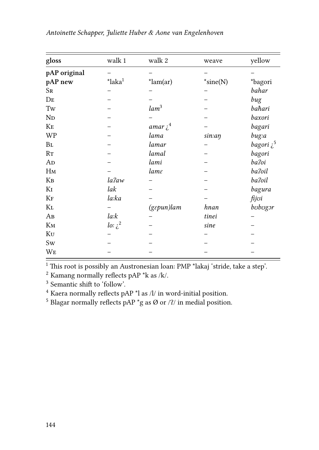| gloss          | walk 1             | walk 2           | weave      | yellow                |
|----------------|--------------------|------------------|------------|-----------------------|
| pAP original   |                    |                  |            |                       |
| pAP new        | *laka <sup>1</sup> | $*lam(ar)$       | $*sine(N)$ | *bagori               |
| $S_{R}$        |                    |                  |            | bahar                 |
| $D_E$          |                    |                  |            | bug                   |
| Tw             |                    | lam <sup>3</sup> |            | bahari                |
| $N_{D}$        |                    |                  |            | baxori                |
| $K_{E}$        |                    | amar $i^4$       |            | bagari                |
| <b>WP</b>      |                    | lama             | sin:an     | bug:a                 |
| B <sub>L</sub> |                    | lamar            |            | bagori ¿ <sup>5</sup> |
| $R_{T}$        |                    | lamal            |            | bagori                |
| AD             |                    | lami             |            | ba?oi                 |
| $H_M$          |                    | $lam\varepsilon$ |            | ba?oil                |
| Kв             | la?aw              |                  |            | ba?oil                |
| Kі             | lak                |                  |            | bagura                |
| $\rm K\rm F$   | la:ka              |                  |            | fijoi                 |
| KL             |                    | (gepun)lam       | hnan       | bobogor               |
| AB             | $l$ a: $k$         |                  | tinei      |                       |
| Kм             | lo: $\lambda^2$    |                  | sine       |                       |
| Ku             |                    |                  |            |                       |
| Sw             |                    |                  |            |                       |
| WE             |                    |                  |            |                       |

 $^{\rm 1}$  This root is possibly an Austronesian loan: PMP \*lakaj 'stride, take a step'.

<sup>2</sup> Kamang normally reflects pAP  $*$ k as /k/.

3 Semantic shift to 'follow'.

<sup>4</sup> Kaera normally reflects pAP \*l as /l/ in word-initial position.

<sup>5</sup> Blagar normally reflects pAP  $*$ g as Ø or /?/ in medial position.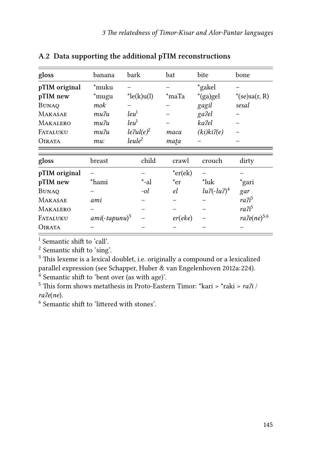| gloss          | banana           | bark             | bat        | bite                     | bone              |
|----------------|------------------|------------------|------------|--------------------------|-------------------|
| pTIM original  | *muku            |                  |            | *gakel                   |                   |
| pTIM new       | *mugu            | E(k)u(l)         | *maTa      | $*(\text{ga})\text{gel}$ | $*(se)sa(r, R)$   |
| <b>BUNAQ</b>   | mok              |                  |            | gagil                    | sesal             |
| <b>MAKASAE</b> | $mu$ ?u          | leu <sup>1</sup> |            | ga?el                    |                   |
| MAKALERO       | $mu$ ? $u$       | leu <sup>1</sup> |            | ka?el                    |                   |
| FATALUKU       | $mu$ ?u          | $le2ul(e)^2$     | maca       | (ki)ki(2)e               |                   |
| OIRATA         | mu:              | $leule^2$        | mafa       |                          |                   |
|                |                  |                  |            |                          |                   |
| gloss          | breast           | child            | crawl      | crouch                   | dirty             |
| pTIM original  |                  |                  | $*$ er(ek) |                          |                   |
| pTIM new       | *hami            | *-al             | *er        | *luk                     | *gari             |
| <b>BUNAQ</b>   |                  | -ol              | el         | $lu7(-lu7)^4$            | gar               |
| MAKASAE        | ami              |                  |            |                          | ra?i <sup>5</sup> |
| MAKALERO       |                  |                  |            |                          | ra?i <sup>5</sup> |
| FATALUKU       | $ami(-tapunu)^3$ |                  | er(eke)    |                          | $ra2e(ne)^{5,6}$  |
| OIRATA         |                  |                  |            |                          |                   |

<span id="page-46-0"></span>**A.2 Data supporting the additional pTIM reconstructions**

<sup>1</sup> Semantic shift to 'call'.

<sup>2</sup> Semantic shift to 'sing'.

<sup>3</sup> This lexeme is a lexical doublet, i.e. originally a compound or a lexicalized parallel expression (see [Schapper, Huber & van Engelenhoven 2012a:](#page-54-0)224).

4 Semantic shift to 'bent over (as with age)'.

<sup>5</sup> This form shows metathesis in Proto-Eastern Timor: \*kari > \*raki > *raʔi* / *raʔe*(*ne*).

6 Semantic shift to 'littered with stones'.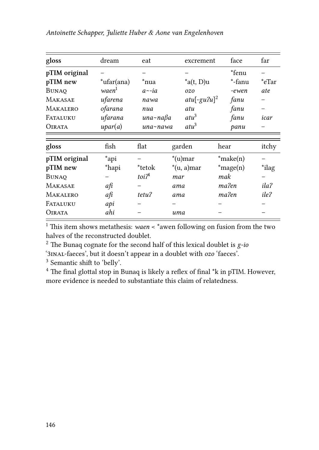| gloss          | dream             | eat                   |     | excrement                      | face           | far   |
|----------------|-------------------|-----------------------|-----|--------------------------------|----------------|-------|
| pTIM original  |                   |                       |     |                                | *fenu          |       |
| pTIM new       | *ufar(ana)        | *nua                  |     | a(t, D)u                       | *-fanu         | *eTar |
| BUNAO          | waen <sup>1</sup> | $a$ ~-ia              |     | 0Z <sub>0</sub>                | -ewen          | ate   |
| MAKASAE        | ufarena           | nawa                  |     | $atu$ [-gu $2u$ ] <sup>2</sup> | fanu           |       |
| MAKALERO       | ofarana           | nua                   |     | atu                            | fanu           |       |
| FATALUKU       | ufarana           | $una \sim na\beta a$  |     | $atu^3$                        | fanu           | icar  |
| <b>OIRATA</b>  | upar(a)           | una~nawa              |     | $atu^3$                        | panu           |       |
|                |                   |                       |     |                                |                |       |
| gloss          | fish              | flat                  |     | garden                         | hear           | itchy |
| pTIM original  | *api              |                       |     | *(u)mar                        | $*make(n)$     |       |
| pTIM new       | *hapi             | *tetok                |     | $*(u, a)$ mar                  | $*$ mage $(n)$ | *ilag |
| BUNAO          |                   | $\pi$ i <sup>24</sup> | mar |                                | mak            |       |
| <b>MAKASAE</b> | afi               |                       | ama |                                | ma?en          | ila?  |
| MAKALERO       | afi               | tetu?                 | ama |                                | ma?en          | ile?  |
| FATALUKU       | api               |                       |     |                                |                |       |
| <b>OIRATA</b>  | ahi               |                       | uma |                                |                |       |

*Antoinette Schapper, Juliette Huber & Aone van Engelenhoven*

<sup>1</sup> This item shows metathesis: *waen* < \*awen following on fusion from the two halves of the reconstructed doublet.

<sup>2</sup> The Bunaq cognate for the second half of this lexical doublet is *g-io*

'3inal-faeces', but it doesn't appear in a doublet with *ozo* 'faeces'.

<sup>3</sup> Semantic shift to 'belly'.

<sup>4</sup> The final glottal stop in Bunaq is likely a reflex of final \*k in pTIM. However, more evidence is needed to substantiate this claim of relatedness.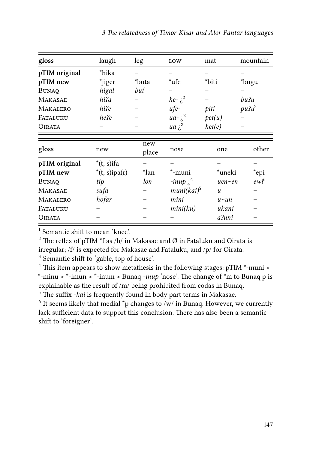| gloss          | laugh            | leg              | LOW               | mat              | mountain         |
|----------------|------------------|------------------|-------------------|------------------|------------------|
| pTIM original  | *hika            |                  |                   |                  |                  |
| pTIM new       | *jiger           | *buta            | *ufe              | *biti            | *bugu            |
| <b>BUNAQ</b>   | higal            | but <sup>1</sup> |                   |                  |                  |
| <b>MAKASAE</b> | hi?a             |                  | he- $i^2$         |                  | bu?u             |
| MAKALERO       | hi?e             |                  | $\mathcal{U}$ fe- | piti             | $pu2u^3$         |
| FATALUKU       | he?e             |                  | $ua-z^2$          | pet(u)           |                  |
| <b>OIRATA</b>  |                  |                  | $ua_i^2$          | het(e)           |                  |
|                |                  |                  |                   |                  |                  |
| gloss          | new              | new<br>place     | nose              | one              | other            |
| pTIM original  | $*(t, s)$ ifa    |                  |                   |                  |                  |
| pTIM new       | $*(t, s)$ ipa(r) | *lan             | *-muni            | *uneki           | *epi             |
| <b>BUNAQ</b>   | tip              | lon              | -inup $\chi^4$    | $uen$ en         | ewi <sup>6</sup> |
| <b>MAKASAE</b> | sufa             |                  | $muni(kai)^5$     | $\boldsymbol{u}$ |                  |
| MAKALERO       | hofar            |                  | mini              | $u \sim u n$     |                  |
| FATALUKU       |                  |                  | min(ku)           | ukani            |                  |
| <b>OIRATA</b>  |                  |                  |                   | a?uni            |                  |

<sup>1</sup> Semantic shift to mean 'knee'.

<sup>2</sup> The reflex of pTIM  $*$ f as /h/ in Makasae and Ø in Fataluku and Oirata is irregular; /f/ is expected for Makasae and Fataluku, and /p/ for Oirata.

<sup>3</sup> Semantic shift to 'gable, top of house'.

 $4$  This item appears to show metathesis in the following stages: pTIM  $*$ -muni > \*-minu > \*-imun > \*-inum > Bunaq *-inup* 'nose'. The change of \*m to Bunaq p is explainable as the result of /m/ being prohibited from codas in Bunaq.

<sup>5</sup> The suffix -*kai* is frequently found in body part terms in Makasae.

 $^6$  It seems likely that medial  $^*$ p changes to /w/ in Bunaq. However, we currently lack sufficient data to support this conclusion. There has also been a semantic shift to 'foreigner'.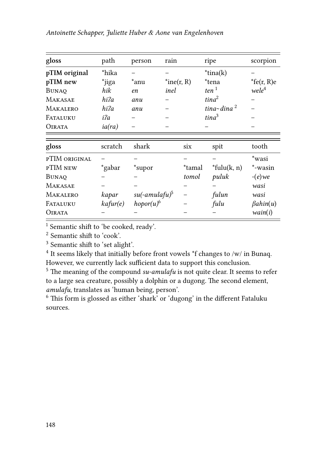| gloss          | path     | person                      | rain         |        | ripe                 | scorpion           |
|----------------|----------|-----------------------------|--------------|--------|----------------------|--------------------|
| pTIM original  | *hika    |                             |              |        | *tina(k)             |                    |
| pTIM new       | *jiga    | *anu                        | $*ine(r, R)$ |        | *tena                | $*$ fe $(r, R)e$   |
| BUNAO          | hik      | en                          | inel         |        | ten <sup>1</sup>     | wele <sup>4</sup>  |
| MAKASAE        | hi?a     | anu                         |              |        | $t$ ina <sup>2</sup> |                    |
| MAKALERO       | hi?a     | anu                         |              |        | tina~dina $^2$       |                    |
| FATALUKU       | i?a      |                             |              |        | $t$ ina <sup>3</sup> |                    |
| <b>OIRATA</b>  | ia (ra)  |                             |              |        |                      |                    |
|                |          |                             |              |        |                      |                    |
| gloss          | scratch  | shark                       |              | six    | spit                 | tooth              |
| PTIM ORIGINAL  |          |                             |              |        |                      | *wasi              |
| PTIM NEW       | *gabar   | *supor                      |              | *tamal | $*$ fulu $(k, n)$    | *-wasin            |
| <b>BUNAQ</b>   |          |                             |              | tomol  | puluk                | $-(e)$ we          |
| <b>MAKASAE</b> |          |                             |              |        |                      | wasi               |
| MAKALERO       | kapar    | $su(-amulafu)^5$            |              |        | fulun                | wasi               |
| FATALUKU       | kafur(e) | $h$ opor $(u)$ <sup>6</sup> |              |        | fulu                 | $\beta$ ahin $(u)$ |
| <b>OIRATA</b>  |          |                             |              |        |                      | wain(i)            |

*Antoinette Schapper, Juliette Huber & Aone van Engelenhoven*

<sup>1</sup> Semantic shift to 'be cooked, ready'.

2 Semantic shift to 'cook'.

<sup>3</sup> Semantic shift to 'set alight'.

 $4$  It seems likely that initially before front vowels  $*$ f changes to /w/ in Bunaq. However, we currently lack sufficient data to support this conclusion.

<sup>5</sup> The meaning of the compound *su-amulafu* is not quite clear. It seems to refer to a large sea creature, possibly a dolphin or a dugong. The second element, *amulafu*, translates as 'human being, person'.

<sup>6</sup> This form is glossed as either 'shark' or 'dugong' in the different Fataluku sources.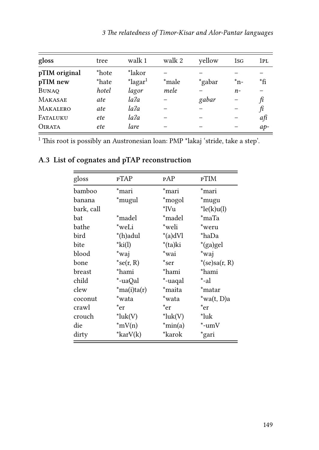| gloss           | tree  | walk 1                   | walk 2 | yellow | 1sg   | 1PL         |
|-----------------|-------|--------------------------|--------|--------|-------|-------------|
| pTIM original   | *hote | *lakor                   |        |        |       |             |
| pTIM new        | *hate | $\mu$ lagar <sup>1</sup> | *male  | *gabar | $n -$ | *fi         |
| <b>BUNAQ</b>    | hotel | lagor                    | mele   |        | $n-$  |             |
| <b>MAKASAE</b>  | ate   | la?a                     |        | gabar  |       | fi          |
| <b>MAKALERO</b> | ate   | la?a                     |        |        |       | $\int f(x)$ |
| FATALUKU        | ete   | la?a                     |        |        |       | afi         |
| <b>OIRATA</b>   | ete   | lare                     |        |        |       | $ap-$       |

 $\overline{1}$  This root is possibly an Austronesian loan: PMP \*lakaj 'stride, take a step'.

### <span id="page-50-0"></span>**A.3 List of cognates and pTAP reconstruction**

| gloss      | <b>PTAP</b>     | PAP       | PTIM            |
|------------|-----------------|-----------|-----------------|
| bamboo     | *mari           | *mari     | *mari           |
| banana     | *mugul          | *mogol    | *mugu           |
| bark, call |                 | *lVu      | E(k)u(l)        |
| bat        | *madel          | *madel    | *maTa           |
| bathe      | *weLi           | *weli     | *weru           |
| bird       | *(h)adul        | $*(a)dV1$ | *haDa           |
| bite       | $*ki(l)$        | *(ta)ki   | *(ga)gel        |
| blood      | *waj            | *wai      | *waj            |
| bone       | $*$ se $(r, R)$ | *ser      | $*(se)sa(r, R)$ |
| breast     | *hami           | *hami     | *hami           |
| child      | *-uaQal         | *-uaqal   | *-al            |
| clew       | $*$ ma(i)ta(r)  | *maita    | *matar          |
| coconut    | *wata           | *wata     | *wa(t, D)a      |
| crawl      | *er             | *er       | *er             |
| crouch     | $\text{Huk}(V)$ | $*luk(V)$ | *luk            |
| die        | $*mV(n)$        | $*min(a)$ | *-umV           |
| dirty      | *karV(k)        | *karok    | *gari           |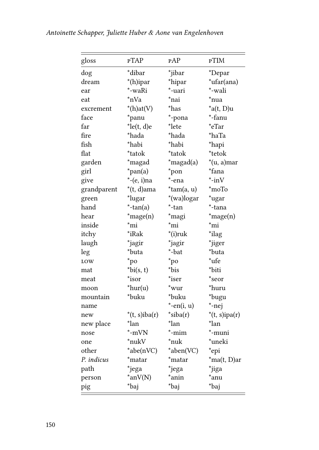| gloss       | PTAP            | PAP              | PTIM             |
|-------------|-----------------|------------------|------------------|
| dog         | *dibar          | *jibar           | *Depar           |
| dream       | *(h)ipar        | *hipar           | *ufar(ana)       |
| ear         | *-waRi          | *-uari           | *-wali           |
| eat         | *nVa            | *nai             | *nua             |
| excrement   | $*(h)at(V)$     | *has             | a(t, D)u         |
| face        | *panu           | *-pona           | *-fanu           |
| far         | E(t, d)e        | *lete            | *eTar            |
| fire        | *hada           | *hada            | *haTa            |
| fish        | *habi           | *habi            | *hapi            |
| flat        | *tatok          | *tatok           | *tetok           |
| garden      | *magad          | *magad(a)        | $*(u, a)$ mar    |
| girl        | $*pan(a)$       | *pon             | $^\ast$ fana     |
| give        | *-(e, i)na      | *-ena            | $*$ -in $V$      |
| grandparent | *(t, d)ama      | $*$ tam $(a, u)$ | $*$ moTo         |
| green       | *lugar          | *(wa)logar       | *ugar            |
| hand        | $*$ -tan(a)     | *-tan            | $^*$ -tana       |
| hear        | *mage(n)        | *magi            | *mage(n)         |
| inside      | $*mi$           | $\cdot$ mi       | $\mathrm{^*mi}$  |
| itchy       | *iRak           | *(i)ruk          | *ilag            |
| laugh       | *jagir          | *jagir           | *jiger           |
| leg         | *buta           | *-bat            | *buta            |
| LOW         | $^{\ast}$ po    | $_{\rm}^{*}$ po  | *ufe             |
| mat         | $b$ i(s, t)     | *bis             | *biti            |
| meat        | *isor           | *iser            | *seor            |
| moon        | $*$ hur $(u)$   | $*wur$           | *huru            |
| mountain    | *buku           | *buku            | *bugu            |
| name        |                 | $*-en(i, u)$     | *-nej            |
| new         | $*(t, s)iba(r)$ | $*$ siba $(r)$   | $*(t, s)$ ipa(r) |
| new place   | *lan            | $*1$ an          | *lan             |
| nose        | $*$ -mVN        | $*$ -mim         | *-muni           |
| one         | *nukV           | *nuk             | *uneki           |
| other       | *abe(nVC)       | *aben(VC)        | *epi             |
| P. indicus  | *matar          | *matar           | *ma(t, D)ar      |
| path        | *jega           | *jega            | *jiga            |
| person      | $*anV(N)$       | *anin            | $*anu$           |
| pig         | *baj            | *baj             | *baj             |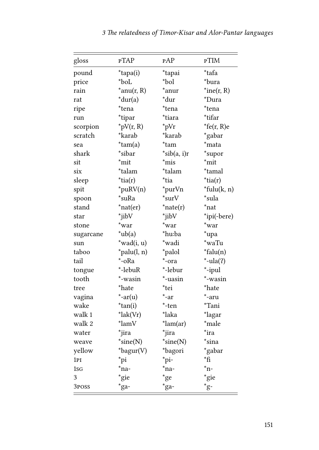| gloss           | <b>PTAP</b>              | PAP            | PTIM                                |
|-----------------|--------------------------|----------------|-------------------------------------|
| pound           | *tapa(i)                 | *tapai         | *tafa                               |
| price           | *boL                     | *bol           | *bura                               |
| rain            | $*$ anu $(r, R)$         | *anur          | $*ine(r, R)$                        |
| rat             | *dur(a)                  | *dur           | *Dura                               |
| ripe            | *tena                    | <i>*</i> tena  | *tena                               |
| run             | *tipar                   | <i>*tiara</i>  | *tifar                              |
| scorpion        | $*_{pV(r, R)}$           | *pVr           | $*$ fe $(r, R)e$                    |
| scratch         | *karab                   | *karab         | *gabar                              |
| sea             | $*tam(a)$                | $*tam$         | *mata                               |
| shark           | *sibar                   | *sib(a, i)r    | *supor                              |
| sit             | *mit                     | *mis           | *mit                                |
| six             | *talam                   | *talam         | *tamal                              |
| sleep           | $*$ tia $(r)$            | $^\star$ tia   | $*$ tia $(r)$                       |
| spit            | $*_{\text{puRV}(n)}$     | *purVn         | *fulu(k, n)                         |
| spoon           | *suRa                    | $*surV$        | *sula                               |
| stand           | *nat(er)                 | $*$ nate $(r)$ | $*nat$                              |
| star            | *jibV                    | *jibV          | *ipi(-bere)                         |
| stone           | $*war$                   | $*_{\rm war}$  | *war                                |
| sugarcane       | $\sqrt[k]{\text{ub}}(a)$ | *hu:ba         | *upa                                |
| sun             | *wad(i, u)               | *wadi          | *waTu                               |
| taboo           | *palu(l, n)              | *palol         | *falu(n)                            |
| tail            | *-oRa                    | *-ora          | *- $ula(?)$                         |
| tongue          | *-lebuR                  | *-lebur        | *-ipul                              |
| tooth           | *-wasin                  | *-uasin        | *-wasin                             |
| tree            | *hate                    | *tei           | *hate                               |
| vagina          | $*ar(u)$                 | $*$ -ar        | *-aru                               |
| wake            | *tan(i)                  | *-ten          | *Tani                               |
| walk 1          | *lak(Vr)                 | *laka          | *lagar                              |
| walk 2          | *lamV                    | $*lam(ar)$     | *male                               |
| water           | *jira                    | *jira          | $\boldsymbol{\dot{\mathrm{r}}}$ ira |
| weave           | $*sine(N)$               | $*$ sine $(N)$ | $*$ sina                            |
| yellow          | *bagur(V)                | *bagori        | $^\star \text{gabar}$               |
| 1PI             | *pi                      | *pi-           | *fi                                 |
| 1s <sub>G</sub> | $*na$                    | $*na$          | $\cdot^*$ n-                        |
| 3               | *gie                     | $^*$ ge        | *gie                                |
| 3POSS           | *ga-                     | *ga-           | $^{\ast}\mathrm{g}$ -               |
|                 |                          |                |                                     |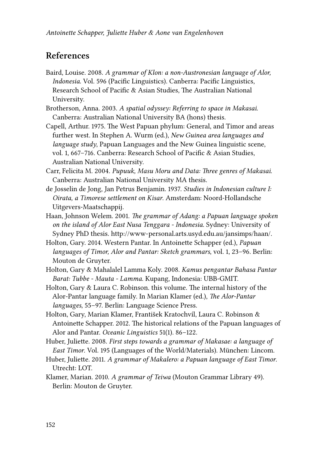### **References**

- <span id="page-53-6"></span>Baird, Louise. 2008. *A grammar of Klon: a non-Austronesian language of Alor, Indonesia*. Vol. 596 (Pacific Linguistics). Canberra: Pacific Linguistics, Research School of Pacific & Asian Studies, The Australian National University.
- <span id="page-53-8"></span>Brotherson, Anna. 2003. *A spatial odyssey: Referring to space in Makasai*. Canberra: Australian National University BA (hons) thesis.
- <span id="page-53-1"></span>Capell, Arthur. 1975. The West Papuan phylum: General, and Timor and areas further west. In Stephen A. Wurm (ed.), *New Guinea area languages and language study*, Papuan Languages and the New Guinea linguistic scene, vol. 1, 667–716. Canberra: Research School of Pacific & Asian Studies, Australian National University.
- <span id="page-53-9"></span>Carr, Felicita M. 2004. *Pupuuk, Masu Moru and Data: Three genres of Makasai*. Canberra: Australian National University MA thesis.
- <span id="page-53-11"></span>de Josselin de Jong, Jan Petrus Benjamin. 1937. *Studies in Indonesian culture I: Oirata, a Timorese settlement on Kisar*. Amsterdam: Noord-Hollandsche Uitgevers-Maatschappij.
- <span id="page-53-5"></span>Haan, Johnson Welem. 2001. *The grammar of Adang: a Papuan language spoken on the island of Alor East Nusa Tenggara - Indonesia*. Sydney: University of Sydney PhD thesis. <http://www-personal.arts.usyd.edu.au/jansimps/haan/>.
- <span id="page-53-3"></span>Holton, Gary. 2014. Western Pantar. In Antoinette Schapper (ed.), *Papuan languages of Timor, Alor and Pantar: Sketch grammars*, vol. 1, 23–96. Berlin: Mouton de Gruyter.
- <span id="page-53-12"></span>Holton, Gary & Mahalalel Lamma Koly. 2008. *Kamus pengantar Bahasa Pantar Barat: Tubbe - Mauta - Lamma*. Kupang, Indonesia: UBB-GMIT.
- <span id="page-53-2"></span>Holton, Gary & Laura C. Robinson. this volume. The internal history of the Alor-Pantar language family. In Marian Klamer (ed.), *The Alor-Pantar languages*, 55–97. Berlin: Language Science Press.
- <span id="page-53-0"></span>Holton, Gary, Marian Klamer, František Kratochvíl, Laura C. Robinson & Antoinette Schapper. 2012. The historical relations of the Papuan languages of Alor and Pantar. *Oceanic Linguistics* 51(1). 86–122.
- <span id="page-53-10"></span>Huber, Juliette. 2008. *First steps towards a grammar of Makasae: a language of East Timor*. Vol. 195 (Languages of the World/Materials). München: Lincom.
- <span id="page-53-7"></span>Huber, Juliette. 2011. *A grammar of Makalero: a Papuan language of East Timor*. Utrecht: LOT.
- <span id="page-53-4"></span>Klamer, Marian. 2010. *A grammar of Teiwa* (Mouton Grammar Library 49). Berlin: Mouton de Gruyter.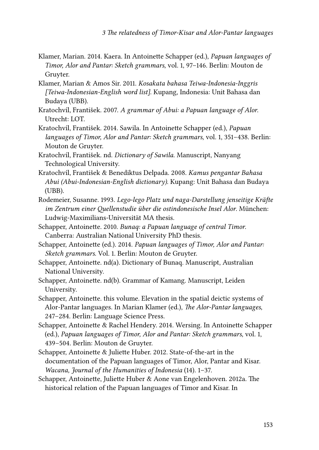- <span id="page-54-3"></span>Klamer, Marian. 2014. Kaera. In Antoinette Schapper (ed.), *Papuan languages of Timor, Alor and Pantar: Sketch grammars*, vol. 1, 97–146. Berlin: Mouton de Gruyter.
- <span id="page-54-12"></span>Klamer, Marian & Amos Sir. 2011. *Kosakata bahasa Teiwa-Indonesia-Inggris [Teiwa-Indonesian-English word list]*. Kupang, Indonesia: Unit Bahasa dan Budaya (UBB).
- <span id="page-54-4"></span>Kratochvíl, František. 2007. *A grammar of Abui: a Papuan language of Alor*. Utrecht: LOT.
- <span id="page-54-6"></span>Kratochvíl, František. 2014. Sawila. In Antoinette Schapper (ed.), *Papuan languages of Timor, Alor and Pantar: Sketch grammars*, vol. 1, 351–438. Berlin: Mouton de Gruyter.
- <span id="page-54-11"></span>Kratochvíl, František. nd. *Dictionary of Sawila*. Manuscript, Nanyang Technological University.
- <span id="page-54-9"></span>Kratochvíl, František & Benediktus Delpada. 2008. *Kamus pengantar Bahasa Abui (Abui-Indonesian-English dictionary)*. Kupang: Unit Bahasa dan Budaya (UBB).
- <span id="page-54-13"></span>Rodemeier, Susanne. 1993. *Lego-lego Platz und naga-Darstellung jenseitige Kräfte im Zentrum einer Quellenstudie über die ostindonesische Insel Alor*. München: Ludwig-Maximilians-Universität MA thesis.
- <span id="page-54-8"></span>Schapper, Antoinette. 2010. *Bunaq: a Papuan language of central Timor*. Canberra: Australian National University PhD thesis.
- Schapper, Antoinette (ed.). 2014. *Papuan languages of Timor, Alor and Pantar: Sketch grammars*. Vol. 1. Berlin: Mouton de Gruyter.
- <span id="page-54-10"></span>Schapper, Antoinette. nd(a). Dictionary of Bunaq. Manuscript, Australian National University.
- <span id="page-54-5"></span>Schapper, Antoinette. nd(b). Grammar of Kamang. Manuscript, Leiden University.
- <span id="page-54-1"></span>Schapper, Antoinette. this volume. Elevation in the spatial deictic systems of Alor-Pantar languages. In Marian Klamer (ed.), *The Alor-Pantar languages*, 247–284. Berlin: Language Science Press.
- <span id="page-54-7"></span>Schapper, Antoinette & Rachel Hendery. 2014. Wersing. In Antoinette Schapper (ed.), *Papuan languages of Timor, Alor and Pantar: Sketch grammars*, vol. 1, 439–504. Berlin: Mouton de Gruyter.
- <span id="page-54-2"></span>Schapper, Antoinette & Juliette Huber. 2012. State-of-the-art in the documentation of the Papuan languages of Timor, Alor, Pantar and Kisar. *Wacana, Journal of the Humanities of Indonesia* (14). 1–37.
- <span id="page-54-0"></span>Schapper, Antoinette, Juliette Huber & Aone van Engelenhoven. 2012a. The historical relation of the Papuan languages of Timor and Kisar. In